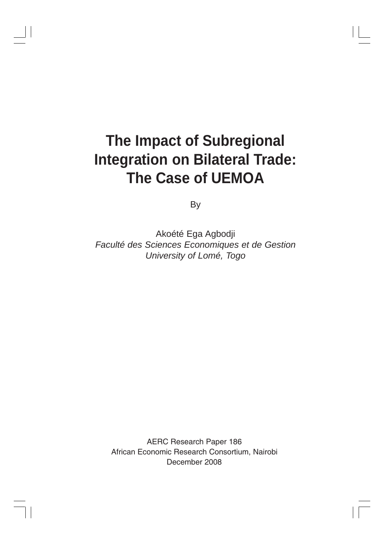# **The Impact of Subregional Integration on Bilateral Trade: The Case of UEMOA**

By

Akoété Ega Agbodji *Faculté des Sciences Economiques et de Gestion University of Lomé, Togo*

AERC Research Paper 186 African Economic Research Consortium, Nairobi December 2008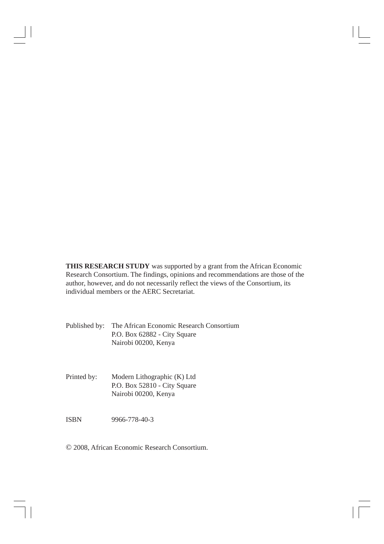**THIS RESEARCH STUDY** was supported by a grant from the African Economic Research Consortium. The findings, opinions and recommendations are those of the author, however, and do not necessarily reflect the views of the Consortium, its individual members or the AERC Secretariat.

Published by: The African Economic Research Consortium P.O. Box 62882 - City Square Nairobi 00200, Kenya

Printed by: Modern Lithographic (K) Ltd P.O. Box 52810 - City Square Nairobi 00200, Kenya

ISBN 9966-778-40-3

© 2008, African Economic Research Consortium.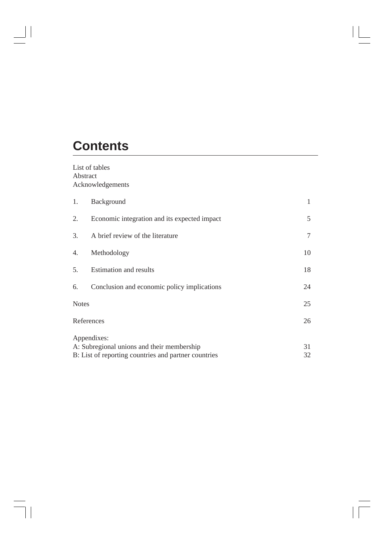## **Contents**

 $\begin{array}{c|c|c|c|c} \hline \quad \quad & \quad \quad & \quad \quad & \quad \quad \\ \hline \quad \quad & \quad \quad & \quad \quad & \quad \quad \\ \hline \end{array}$ 

 $\overline{\phantom{a}}$ 

List of tables Abstract Acknowledgements

| 1.           | Background                                           | 1      |  |  |
|--------------|------------------------------------------------------|--------|--|--|
| 2.           | Economic integration and its expected impact         | 5      |  |  |
| 3.           | A brief review of the literature                     | $\tau$ |  |  |
| 4.           | Methodology                                          | 10     |  |  |
| 5.           | <b>Estimation and results</b>                        | 18     |  |  |
| 6.           | Conclusion and economic policy implications          |        |  |  |
| <b>Notes</b> |                                                      |        |  |  |
| References   |                                                      |        |  |  |
|              | Appendixes:                                          |        |  |  |
|              | A: Subregional unions and their membership           | 31     |  |  |
|              | B: List of reporting countries and partner countries |        |  |  |

 $\begin{array}{c} \hline \end{array}$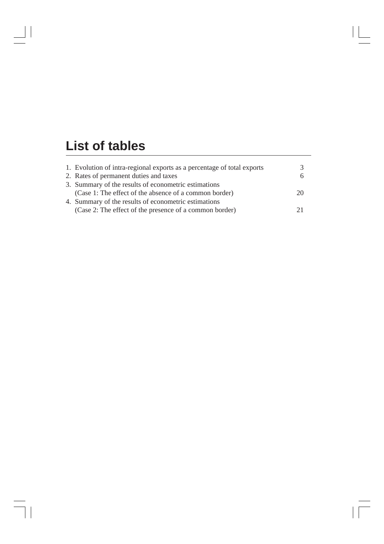## **List of tables**

 $\begin{array}{c|c|c|c|c} \hline \quad \quad & \quad \quad & \quad \quad & \quad \quad \\ \hline \end{array}$ 

 $\overline{1}$ 

| 1. Evolution of intra-regional exports as a percentage of total exports |    |
|-------------------------------------------------------------------------|----|
| 2. Rates of permanent duties and taxes                                  |    |
| 3. Summary of the results of econometric estimations                    |    |
| (Case 1: The effect of the absence of a common border)                  | 20 |
| 4. Summary of the results of econometric estimations                    |    |
| (Case 2: The effect of the presence of a common border)                 | 21 |
|                                                                         |    |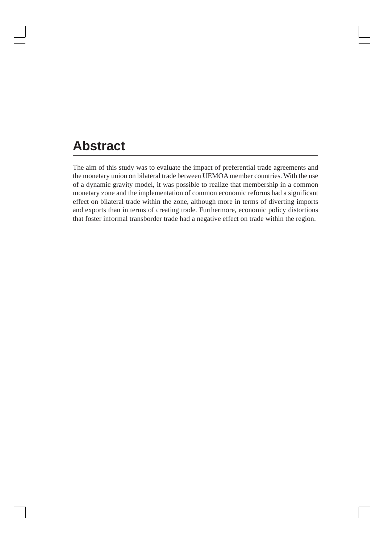### **Abstract**

The aim of this study was to evaluate the impact of preferential trade agreements and the monetary union on bilateral trade between UEMOA member countries. With the use of a dynamic gravity model, it was possible to realize that membership in a common monetary zone and the implementation of common economic reforms had a significant effect on bilateral trade within the zone, although more in terms of diverting imports and exports than in terms of creating trade. Furthermore, economic policy distortions that foster informal transborder trade had a negative effect on trade within the region.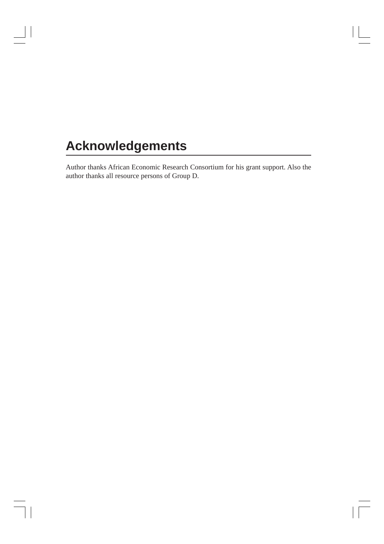## **Acknowledgements**

 $\mathcal{L}$ 

Author thanks African Economic Research Consortium for his grant support. Also the author thanks all resource persons of Group D.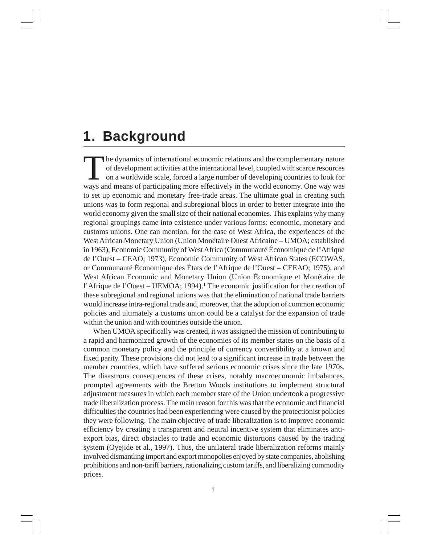### **1. Background**

The dynamics of international economic relations and the complementary nature of development activities at the international level, coupled with scarce resources on a worldwide scale, forced a large number of developing countries to look for ways and means of participating more effectively in the world economy. One way was to set up economic and monetary free-trade areas. The ultimate goal in creating such unions was to form regional and subregional blocs in order to better integrate into the world economy given the small size of their national economies. This explains why many regional groupings came into existence under various forms: economic, monetary and customs unions. One can mention, for the case of West Africa, the experiences of the West African Monetary Union (Union Monétaire Ouest Africaine – UMOA; established in 1963), Economic Community of West Africa (Communauté Économique de l'Afrique de l'Ouest – CEAO; 1973), Economic Community of West African States (ECOWAS, or Communauté Économique des États de l'Afrique de l'Ouest – CEEAO; 1975), and West African Economic and Monetary Union (Union Économique et Monétaire de l'Afrique de l'Ouest – UEMOA; 1994).<sup>1</sup> The economic justification for the creation of these subregional and regional unions was that the elimination of national trade barriers would increase intra-regional trade and, moreover, that the adoption of common economic policies and ultimately a customs union could be a catalyst for the expansion of trade within the union and with countries outside the union.

When UMOA specifically was created, it was assigned the mission of contributing to a rapid and harmonized growth of the economies of its member states on the basis of a common monetary policy and the principle of currency convertibility at a known and fixed parity. These provisions did not lead to a significant increase in trade between the member countries, which have suffered serious economic crises since the late 1970s. The disastrous consequences of these crises, notably macroeconomic imbalances, prompted agreements with the Bretton Woods institutions to implement structural adjustment measures in which each member state of the Union undertook a progressive trade liberalization process. The main reason for this was that the economic and financial difficulties the countries had been experiencing were caused by the protectionist policies they were following. The main objective of trade liberalization is to improve economic efficiency by creating a transparent and neutral incentive system that eliminates antiexport bias, direct obstacles to trade and economic distortions caused by the trading system (Oyejide et al., 1997). Thus, the unilateral trade liberalization reforms mainly involved dismantling import and export monopolies enjoyed by state companies, abolishing prohibitions and non-tariff barriers, rationalizing custom tariffs, and liberalizing commodity prices.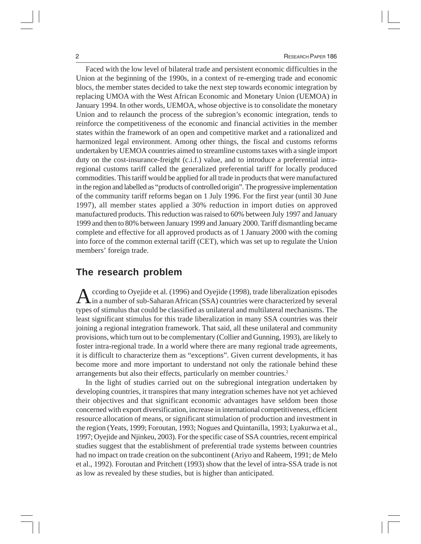Faced with the low level of bilateral trade and persistent economic difficulties in the Union at the beginning of the 1990s, in a context of re-emerging trade and economic blocs, the member states decided to take the next step towards economic integration by replacing UMOA with the West African Economic and Monetary Union (UEMOA) in January 1994. In other words, UEMOA, whose objective is to consolidate the monetary Union and to relaunch the process of the subregion's economic integration, tends to reinforce the competitiveness of the economic and financial activities in the member states within the framework of an open and competitive market and a rationalized and harmonized legal environment. Among other things, the fiscal and customs reforms undertaken by UEMOA countries aimed to streamline customs taxes with a single import duty on the cost-insurance-freight (c.i.f.) value, and to introduce a preferential intraregional customs tariff called the generalized preferential tariff for locally produced commodities. This tariff would be applied for all trade in products that were manufactured in the region and labelled as "products of controlled origin". The progressive implementation of the community tariff reforms began on 1 July 1996. For the first year (until 30 June 1997), all member states applied a 30% reduction in import duties on approved manufactured products. This reduction was raised to 60% between July 1997 and January 1999 and then to 80% between January 1999 and January 2000. Tariff dismantling became complete and effective for all approved products as of 1 January 2000 with the coming into force of the common external tariff (CET), which was set up to regulate the Union members' foreign trade.

#### **The research problem**

According to Oyejide et al. (1996) and Oyejide (1998), trade liberalization episodes<br>in a number of sub-Saharan African (SSA) countries were characterized by several types of stimulus that could be classified as unilateral and multilateral mechanisms. The least significant stimulus for this trade liberalization in many SSA countries was their joining a regional integration framework. That said, all these unilateral and community provisions, which turn out to be complementary (Collier and Gunning, 1993), are likely to foster intra-regional trade. In a world where there are many regional trade agreements, it is difficult to characterize them as "exceptions". Given current developments, it has become more and more important to understand not only the rationale behind these arrangements but also their effects, particularly on member countries.2

In the light of studies carried out on the subregional integration undertaken by developing countries, it transpires that many integration schemes have not yet achieved their objectives and that significant economic advantages have seldom been those concerned with export diversification, increase in international competitiveness, efficient resource allocation of means, or significant stimulation of production and investment in the region (Yeats, 1999; Foroutan, 1993; Nogues and Quintanilla, 1993; Lyakurwa et al., 1997; Oyejide and Njinkeu, 2003). For the specific case of SSA countries, recent empirical studies suggest that the establishment of preferential trade systems between countries had no impact on trade creation on the subcontinent (Ariyo and Raheem, 1991; de Melo et al., 1992). Foroutan and Pritchett (1993) show that the level of intra-SSA trade is not as low as revealed by these studies, but is higher than anticipated.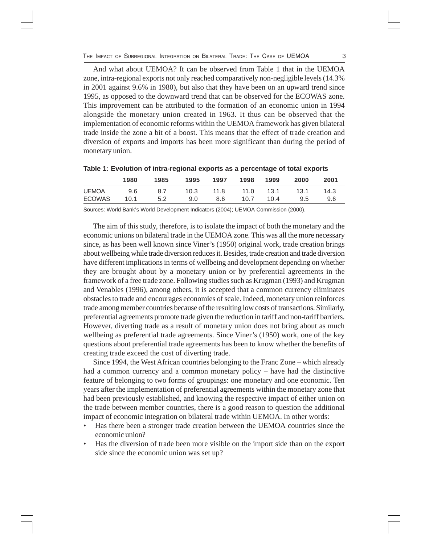And what about UEMOA? It can be observed from Table 1 that in the UEMOA zone, intra-regional exports not only reached comparatively non-negligible levels (14.3% in 2001 against 9.6% in 1980), but also that they have been on an upward trend since 1995, as opposed to the downward trend that can be observed for the ECOWAS zone. This improvement can be attributed to the formation of an economic union in 1994 alongside the monetary union created in 1963. It thus can be observed that the implementation of economic reforms within the UEMOA framework has given bilateral trade inside the zone a bit of a boost. This means that the effect of trade creation and diversion of exports and imports has been more significant than during the period of monetary union.

|               | 1980 | 1985 | 1995 | 1997 | 1998 | 1999 | 2000 | 2001 |
|---------------|------|------|------|------|------|------|------|------|
| <b>UEMOA</b>  | 9.6  | 8.7  | 10.3 | 11.8 | 11.0 | 13.1 | 13.1 | 14.3 |
| <b>ECOWAS</b> | 10.1 | 5.2  | 9.0  | 8.6  | 10.7 | 10.4 | 9.5  | 9.6  |

**Table 1: Evolution of intra-regional exports as a percentage of total exports**

Sources: World Bank's World Development Indicators (2004); UEMOA Commission (2000).

The aim of this study, therefore, is to isolate the impact of both the monetary and the economic unions on bilateral trade in the UEMOA zone. This was all the more necessary since, as has been well known since Viner's (1950) original work, trade creation brings about wellbeing while trade diversion reduces it. Besides, trade creation and trade diversion have different implications in terms of wellbeing and development depending on whether they are brought about by a monetary union or by preferential agreements in the framework of a free trade zone. Following studies such as Krugman (1993) and Krugman and Venables (1996), among others, it is accepted that a common currency eliminates obstacles to trade and encourages economies of scale. Indeed, monetary union reinforces trade among member countries because of the resulting low costs of transactions. Similarly, preferential agreements promote trade given the reduction in tariff and non-tariff barriers. However, diverting trade as a result of monetary union does not bring about as much wellbeing as preferential trade agreements. Since Viner's (1950) work, one of the key questions about preferential trade agreements has been to know whether the benefits of creating trade exceed the cost of diverting trade.

Since 1994, the West African countries belonging to the Franc Zone – which already had a common currency and a common monetary policy – have had the distinctive feature of belonging to two forms of groupings: one monetary and one economic. Ten years after the implementation of preferential agreements within the monetary zone that had been previously established, and knowing the respective impact of either union on the trade between member countries, there is a good reason to question the additional impact of economic integration on bilateral trade within UEMOA. In other words:

- Has there been a stronger trade creation between the UEMOA countries since the economic union?
- Has the diversion of trade been more visible on the import side than on the export side since the economic union was set up?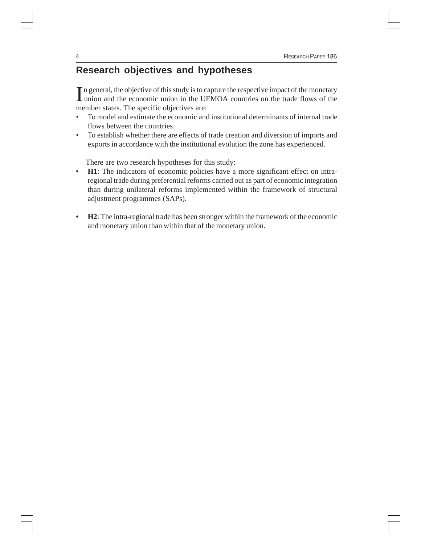### **Research objectives and hypotheses**

In general, the objective of this study is to capture the respective impact of the monetary union and the economic union in the UEMOA countries on the trade flows of the union and the economic union in the UEMOA countries on the trade flows of the member states. The specific objectives are:

- To model and estimate the economic and institutional determinants of internal trade flows between the countries.
- To establish whether there are effects of trade creation and diversion of imports and exports in accordance with the institutional evolution the zone has experienced.

There are two research hypotheses for this study:

- **H1**: The indicators of economic policies have a more significant effect on intraregional trade during preferential reforms carried out as part of economic integration than during unilateral reforms implemented within the framework of structural adjustment programmes (SAPs).
- **H2**: The intra-regional trade has been stronger within the framework of the economic and monetary union than within that of the monetary union.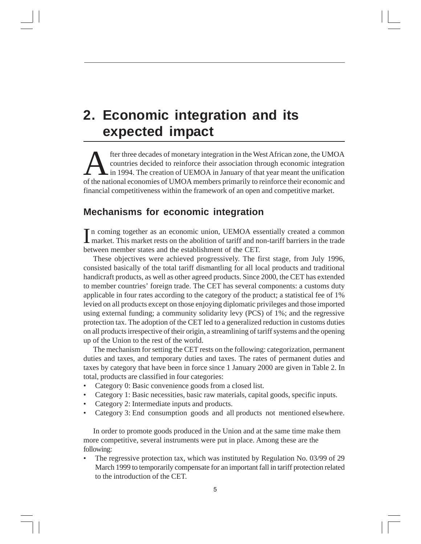### **2. Economic integration and its expected impact**

fter three decades of monetary integration in the West African zone, the UMOA countries decided to reinforce their association through economic integration in 1994. The creation of UEMOA in January of that year meant the unification of the national economies of UMOA members primarily to reinforce their economic and financial competitiveness within the framework of an open and competitive market.

### **Mechanisms for economic integration**

In coming together as an economic union, UEMOA essentially created a common market. This market rests on the abolition of tariff and non-tariff barriers in the trade n coming together as an economic union, UEMOA essentially created a common between member states and the establishment of the CET.

These objectives were achieved progressively. The first stage, from July 1996, consisted basically of the total tariff dismantling for all local products and traditional handicraft products, as well as other agreed products. Since 2000, the CET has extended to member countries' foreign trade. The CET has several components: a customs duty applicable in four rates according to the category of the product; a statistical fee of 1% levied on all products except on those enjoying diplomatic privileges and those imported using external funding; a community solidarity levy (PCS) of 1%; and the regressive protection tax. The adoption of the CET led to a generalized reduction in customs duties on all products irrespective of their origin, a streamlining of tariff systems and the opening up of the Union to the rest of the world.

The mechanism for setting the CET rests on the following: categorization, permanent duties and taxes, and temporary duties and taxes. The rates of permanent duties and taxes by category that have been in force since 1 January 2000 are given in Table 2. In total, products are classified in four categories:

- Category 0: Basic convenience goods from a closed list.
- Category 1: Basic necessities, basic raw materials, capital goods, specific inputs.
- Category 2: Intermediate inputs and products.
- Category 3: End consumption goods and all products not mentioned elsewhere.

In order to promote goods produced in the Union and at the same time make them more competitive, several instruments were put in place. Among these are the following:

• The regressive protection tax, which was instituted by Regulation No. 03/99 of 29 March 1999 to temporarily compensate for an important fall in tariff protection related to the introduction of the CET.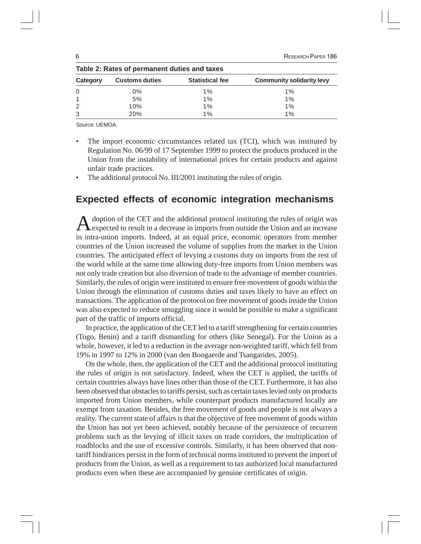|               | Table 2: Rates of permanent duties and taxes |                        |                                  |
|---------------|----------------------------------------------|------------------------|----------------------------------|
| Category      | <b>Customs duties</b>                        | <b>Statistical fee</b> | <b>Community solidarity levy</b> |
| $\Omega$      | 0%                                           | $1\%$                  | $1\%$                            |
|               | 5%                                           | $1\%$                  | 1%                               |
| $\mathcal{P}$ | 10%                                          | $1\%$                  | 1%                               |
| 3             | 20%                                          | 1%                     | 1%                               |

Source: UEMOA.

• The import economic circumstances related tax (TCI), which was instituted by Regulation No. 06/99 of 17 September 1999 to protect the products produced in the Union from the instability of international prices for certain products and against unfair trade practices.

The additional protocol No. III/2001 instituting the rules of origin.

#### **Expected effects of economic integration mechanisms**

Adoption of the CET and the additional protocol instituting the rules of origin was expected to result in a decrease in imports from outside the Union and an increase in intra-union imports. Indeed, at an equal price, economic operators from member countries of the Union increased the volume of supplies from the market in the Union countries. The anticipated effect of levying a customs duty on imports from the rest of the world while at the same time allowing duty-free imports from Union members was not only trade creation but also diversion of trade to the advantage of member countries. Similarly, the rules of origin were instituted to ensure free movement of goods within the Union through the elimination of customs duties and taxes likely to have an effect on transactions. The application of the protocol on free movement of goods inside the Union was also expected to reduce smuggling since it would be possible to make a significant part of the traffic of imports official.

In practice, the application of the CET led to a tariff strengthening for certain countries (Togo, Benin) and a tariff dismantling for others (like Senegal). For the Union as a whole, however, it led to a reduction in the average non-weighted tariff, which fell from 19% in 1997 to 12% in 2000 (van den Boogaerde and Tsangarides, 2005).

On the whole, then, the application of the CET and the additional protocol instituting the rules of origin is not satisfactory. Indeed, when the CET is applied, the tariffs of certain countries always have lines other than those of the CET. Furthermore, it has also been observed that obstacles to tariffs persist, such as certain taxes levied only on products imported from Union members, while counterpart products manufactured locally are exempt from taxation. Besides, the free movement of goods and people is not always a reality. The current state of affairs is that the objective of free movement of goods within the Union has not yet been achieved, notably because of the persistence of recurrent problems such as the levying of illicit taxes on trade corridors, the multiplication of roadblocks and the use of excessive controls. Similarly, it has been observed that nontariff hindrances persist in the form of technical norms instituted to prevent the import of products from the Union, as well as a requirement to tax authorized local manufactured products even when these are accompanied by genuine certificates of origin.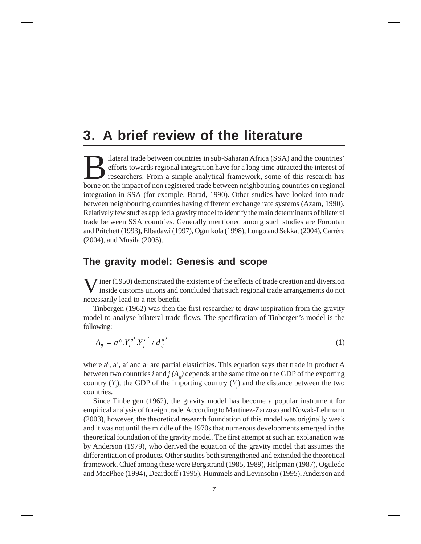### **3. A brief review of the literature**

Experience in sub-Saharan Africa (SSA) and the countries' efforts towards regional integration have for a long time attracted the interest of researchers. From a simple analytical framework, some of this research has been efforts towards regional integration have for a long time attracted the interest of researchers. From a simple analytical framework, some of this research has borne on the impact of non registered trade between neighbouring countries on regional integration in SSA (for example, Barad, 1990). Other studies have looked into trade between neighbouring countries having different exchange rate systems (Azam, 1990). Relatively few studies applied a gravity model to identify the main determinants of bilateral trade between SSA countries. Generally mentioned among such studies are Foroutan and Pritchett (1993), Elbadawi (1997), Ogunkola (1998), Longo and Sekkat (2004), Carrère (2004), and Musila (2005).

### **The gravity model: Genesis and scope**

W inside customs unions and concluded that such regional trade arrangements do not inside customs unions and concluded that such regional trade arrangements do not necessarily lead to a net benefit.

Tinbergen (1962) was then the first researcher to draw inspiration from the gravity model to analyse bilateral trade flows. The specification of Tinbergen's model is the following:

$$
A_{ij} = a^0 . Y_i^{a^1} . Y_j^{a^2} / d_{ij}^{a^3}
$$
 (1)

where  $a^0$ ,  $a^1$ ,  $a^2$  and  $a^3$  are partial elasticities. This equation says that trade in product A between two countries *i* and  $j(A_n)$  depends at the same time on the GDP of the exporting country  $(Y_i)$ , the GDP of the importing country  $(Y_j)$  and the distance between the two countries.

Since Tinbergen (1962), the gravity model has become a popular instrument for empirical analysis of foreign trade. According to Martinez-Zarzoso and Nowak-Lehmann (2003), however, the theoretical research foundation of this model was originally weak and it was not until the middle of the 1970s that numerous developments emerged in the theoretical foundation of the gravity model. The first attempt at such an explanation was by Anderson (1979), who derived the equation of the gravity model that assumes the differentiation of products. Other studies both strengthened and extended the theoretical framework. Chief among these were Bergstrand (1985, 1989), Helpman (1987), Oguledo and MacPhee (1994), Deardorff (1995), Hummels and Levinsohn (1995), Anderson and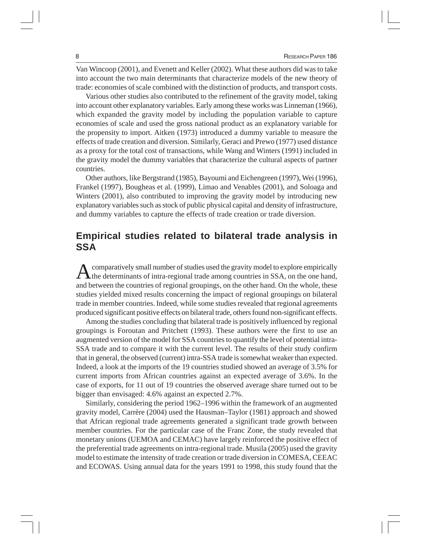Van Wincoop (2001), and Evenett and Keller (2002). What these authors did was to take into account the two main determinants that characterize models of the new theory of trade: economies of scale combined with the distinction of products, and transport costs.

Various other studies also contributed to the refinement of the gravity model, taking into account other explanatory variables. Early among these works was Linneman (1966), which expanded the gravity model by including the population variable to capture economies of scale and used the gross national product as an explanatory variable for the propensity to import. Aitken (1973) introduced a dummy variable to measure the effects of trade creation and diversion. Similarly, Geraci and Prewo (1977) used distance as a proxy for the total cost of transactions, while Wang and Winters (1991) included in the gravity model the dummy variables that characterize the cultural aspects of partner countries.

Other authors, like Bergstrand (1985), Bayoumi and Eichengreen (1997), Wei (1996), Frankel (1997), Bougheas et al. (1999), Limao and Venables (2001), and Soloaga and Winters (2001), also contributed to improving the gravity model by introducing new explanatory variables such as stock of public physical capital and density of infrastructure, and dummy variables to capture the effects of trade creation or trade diversion.

### **Empirical studies related to bilateral trade analysis in SSA**

A comparatively small number of studies used the gravity model to explore empirically<br>the determinants of intra-regional trade among countries in SSA, on the one hand, and between the countries of regional groupings, on the other hand. On the whole, these studies yielded mixed results concerning the impact of regional groupings on bilateral trade in member countries. Indeed, while some studies revealed that regional agreements produced significant positive effects on bilateral trade, others found non-significant effects.

Among the studies concluding that bilateral trade is positively influenced by regional groupings is Foroutan and Pritchett (1993). These authors were the first to use an augmented version of the model for SSA countries to quantify the level of potential intra-SSA trade and to compare it with the current level. The results of their study confirm that in general, the observed (current) intra-SSA trade is somewhat weaker than expected. Indeed, a look at the imports of the 19 countries studied showed an average of 3.5% for current imports from African countries against an expected average of 3.6%. In the case of exports, for 11 out of 19 countries the observed average share turned out to be bigger than envisaged: 4.6% against an expected 2.7%.

Similarly, considering the period 1962–1996 within the framework of an augmented gravity model, Carrère (2004) used the Hausman–Taylor (1981) approach and showed that African regional trade agreements generated a significant trade growth between member countries. For the particular case of the Franc Zone, the study revealed that monetary unions (UEMOA and CEMAC) have largely reinforced the positive effect of the preferential trade agreements on intra-regional trade. Musila (2005) used the gravity model to estimate the intensity of trade creation or trade diversion in COMESA, CEEAC and ECOWAS. Using annual data for the years 1991 to 1998, this study found that the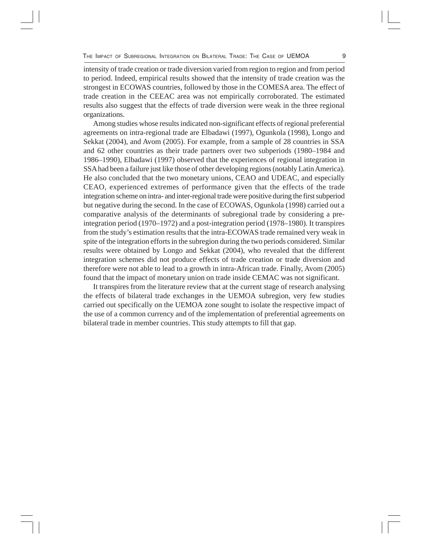intensity of trade creation or trade diversion varied from region to region and from period to period. Indeed, empirical results showed that the intensity of trade creation was the strongest in ECOWAS countries, followed by those in the COMESA area. The effect of trade creation in the CEEAC area was not empirically corroborated. The estimated results also suggest that the effects of trade diversion were weak in the three regional organizations.

Among studies whose results indicated non-significant effects of regional preferential agreements on intra-regional trade are Elbadawi (1997), Ogunkola (1998), Longo and Sekkat (2004), and Avom (2005). For example, from a sample of 28 countries in SSA and 62 other countries as their trade partners over two subperiods (1980–1984 and 1986–1990), Elbadawi (1997) observed that the experiences of regional integration in SSA had been a failure just like those of other developing regions (notably Latin America). He also concluded that the two monetary unions, CEAO and UDEAC, and especially CEAO, experienced extremes of performance given that the effects of the trade integration scheme on intra- and inter-regional trade were positive during the first subperiod but negative during the second. In the case of ECOWAS, Ogunkola (1998) carried out a comparative analysis of the determinants of subregional trade by considering a preintegration period (1970–1972) and a post-integration period (1978–1980). It transpires from the study's estimation results that the intra-ECOWAS trade remained very weak in spite of the integration efforts in the subregion during the two periods considered. Similar results were obtained by Longo and Sekkat (2004), who revealed that the different integration schemes did not produce effects of trade creation or trade diversion and therefore were not able to lead to a growth in intra-African trade. Finally, Avom (2005) found that the impact of monetary union on trade inside CEMAC was not significant.

It transpires from the literature review that at the current stage of research analysing the effects of bilateral trade exchanges in the UEMOA subregion, very few studies carried out specifically on the UEMOA zone sought to isolate the respective impact of the use of a common currency and of the implementation of preferential agreements on bilateral trade in member countries. This study attempts to fill that gap.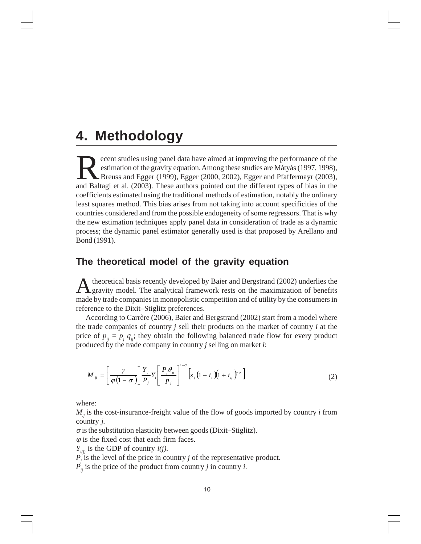### **4. Methodology**

ecent studies using panel data have aimed at improving the performance of the estimation of the gravity equation. Among these studies are Mátyás (1997, 1998), Breuss and Egger (1999), Egger (2000, 2002), Egger and Pfaffermayr (2003), and Baltagi et al. (2003). These authors pointed out the different types of bias in the coefficients estimated using the traditional methods of estimation, notably the ordinary least squares method. This bias arises from not taking into account specificities of the countries considered and from the possible endogeneity of some regressors. That is why the new estimation techniques apply panel data in consideration of trade as a dynamic process; the dynamic panel estimator generally used is that proposed by Arellano and Bond (1991).

#### **The theoretical model of the gravity equation**

A theoretical basis recently developed by Baier and Bergstrand (2002) underlies the gravity model. The analytical framework rests on the maximization of benefits made by trade companies in monopolistic competition and of utility by the consumers in reference to the Dixit–Stiglitz preferences.

According to Carrère (2006), Baier and Bergstrand (2002) start from a model where the trade companies of country *j* sell their products on the market of country *i* at the price of  $p_{ij} = p_j q_{ij}$ ; they obtain the following balanced trade flow for every product produced by the trade company in country *j* selling on market *i*:

$$
M_{ij} = \left[\frac{\gamma}{\varphi(1-\sigma)}\right] \frac{Y_j}{P_j} Y_i \left[\frac{P_j \theta_{ij}}{P_j}\right]^{1-\sigma} \left[s_j \left(1+t_i\right) \left(1+t_{ij}\right)^{-\sigma}\right] \tag{2}
$$

where:

 $M_{ij}$  is the cost-insurance-freight value of the flow of goods imported by country *i* from country *j.*

 $\sigma$  is the substitution elasticity between goods (Dixit–Stiglitz).

 $\varphi$  is the fixed cost that each firm faces.

 $Y_{ij}$  is the GDP of country  $i(j)$ .

 $P_j$  is the level of the price in country *j* of the representative product.

 $P'_{ij}$  is the price of the product from country *j* in country *i*.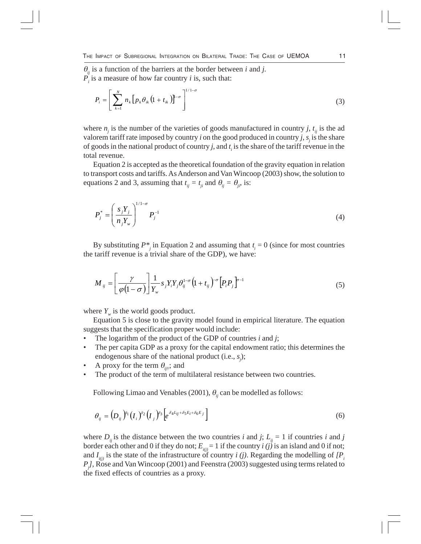$\theta_i$  is a function of the barriers at the border between *i* and *j*.  $P_i$  is a measure of how far country *i* is, such that:

$$
P_i = \left[\sum_{k=1}^N n_k \left[p_k \theta_{ik} \left(1 + t_{ik}\right)\right]^{1/1-\sigma}\right]^{1/1-\sigma} \tag{3}
$$

where  $n_j$  is the number of the varieties of goods manufactured in country *j*,  $t_{ij}$  is the ad valorem tariff rate imposed by country *i* on the good produced in country *j*,  $s_j$  is the share of goods in the national product of country *j*, and *t i* is the share of the tariff revenue in the total revenue.

Equation 2 is accepted as the theoretical foundation of the gravity equation in relation to transport costs and tariffs. As Anderson and Van Wincoop (2003) show, the solution to equations 2 and 3, assuming that  $t_{ij} = t_{ji}$  and  $\theta_{ij} = \theta_{ji}$ , is:

$$
P_j^* = \left(\frac{s_j Y_j}{n_j Y_w}\right)^{1/1-\sigma} P_j^{-1}
$$
\n
$$
(4)
$$

By substituting  $P^*$  in Equation 2 and assuming that  $t_i = 0$  (since for most countries the tariff revenue is a trivial share of the GDP), we have:

$$
M_{ij} = \left[\frac{\gamma}{\varphi(1-\sigma)}\right] \frac{1}{Y_w} s_j Y_i Y_j \theta_{ij}^{1-\sigma} \left(1 + t_{ij}\right)^{-\sigma} \left[P_i P_j\right]^{p-1} \tag{5}
$$

where  $Y_w$  is the world goods product.

Equation 5 is close to the gravity model found in empirical literature. The equation suggests that the specification proper would include:

- The logarithm of the product of the GDP of countries *i* and *j*;
- The per capita GDP as a proxy for the capital endowment ratio; this determines the endogenous share of the national product (i.e., *s<sub>j</sub>*);
- A proxy for the term  $\theta_{ij}$ ; and
- The product of the term of multilateral resistance between two countries.

Following Limao and Venables (2001),  $\theta_{ij}$  can be modelled as follows:

$$
\theta_{ij} = (D_{ij})^{\delta_1} (I_i)^{\delta_2} (I_j)^{\delta_3} \left[ e^{\delta_4 L_{ij} + \delta_5 E_i + \delta_6 E_j} \right]
$$
\n
$$
(6)
$$

where  $D_{ij}$  is the distance between the two countries *i* and *j*;  $L_{ij} = 1$  if countries *i* and *j* border each other and 0 if they do not;  $E_{ij} = 1$  if the country *i* (*j*) is an island and 0 if not; and  $I_{i(j)}$  is the state of the infrastructure of country *i (j)*. Regarding the modelling of  $IP_i$ *P<sub>j</sub>*, Rose and Van Wincoop (2001) and Feenstra (2003) suggested using terms related to the fixed effects of countries as a proxy.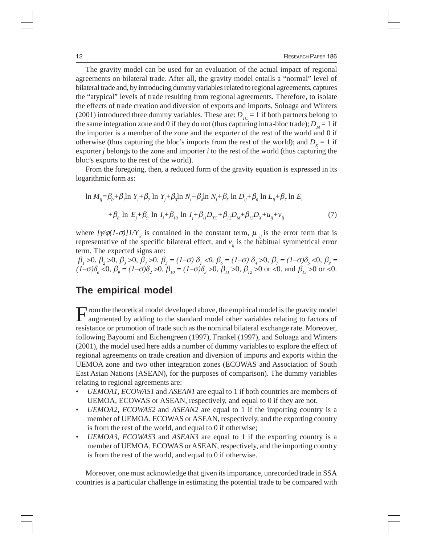The gravity model can be used for an evaluation of the actual impact of regional agreements on bilateral trade. After all, the gravity model entails a "normal" level of bilateral trade and, by introducing dummy variables related to regional agreements, captures the "atypical" levels of trade resulting from regional agreements. Therefore, to isolate the effects of trade creation and diversion of exports and imports, Soloaga and Winters (2001) introduced three dummy variables. These are:  $D_{rc} = 1$  if both partners belong to the same integration zone and 0 if they do not (thus capturing intra-bloc trade);  $D<sub>M</sub> = 1$  if the importer is a member of the zone and the exporter of the rest of the world and 0 if otherwise (thus capturing the bloc's imports from the rest of the world); and  $D_x = 1$  if exporter *j* belongs to the zone and importer *i* to the rest of the world (thus capturing the bloc's exports to the rest of the world).

From the foregoing, then, a reduced form of the gravity equation is expressed in its logarithmic form as:

$$
\ln M_{ij} = \beta_0 + \beta_1 \ln Y_i + \beta_2 \ln Y_j + \beta_3 \ln N_i + \beta_4 \ln N_j + \beta_5 \ln D_{ij} + \beta_6 \ln L_{ij} + \beta_7 \ln E_i
$$
  
+  $\beta_8 \ln E_j + \beta_9 \ln I_i + \beta_{10} \ln I_j + \beta_{11}D_{rc} + \beta_{12}D_{M} + \beta_{13}D_{X} + u_{ij} + v_{ij}$  (7)

where  $[\psi \varphi (1-\sigma)]/Y_w$  is contained in the constant term,  $\mu_{ij}$  is the error term that is representative of the specific bilateral effect, and  $v_{ij}$  is the habitual symmetrical error term. The expected signs are:

 $\beta_1$  >0,  $\beta_2$  >0,  $\beta_3$  >0,  $\beta_4$  >0,  $\beta_5 = (1-\sigma)\delta_1$  <0,  $\beta_6 = (1-\sigma)\delta_4$  >0,  $\beta_7 = (1-\sigma)\delta_5$  <0,  $\beta_8 =$ (1– $\sigma$ ) $\delta_6$  <0,  $\beta_9 = (1-\sigma)\delta_2$ >0,  $\beta_{10} = (1-\sigma)\delta_3$ >0,  $\beta_{11}$ >0,  $\beta_{12}$ >0 or <0, and  $\beta_{13}$ >0 or <0.

#### **The empirical model**

From the theoretical model developed above, the empirical model is the gravity model augmented by adding to the standard model other variables relating to factors of resistance or promotion of trade such as the nominal bilateral exchange rate. Moreover, following Bayoumi and Eichengreen (1997), Frankel (1997), and Soloaga and Winters (2001), the model used here adds a number of dummy variables to explore the effect of regional agreements on trade creation and diversion of imports and exports within the UEMOA zone and two other integration zones (ECOWAS and Association of South East Asian Nations (ASEAN), for the purposes of comparison). The dummy variables relating to regional agreements are:

- *UEMOA1, ECOWAS1* and *ASEAN1* are equal to 1 if both countries are members of UEMOA, ECOWAS or ASEAN, respectively, and equal to 0 if they are not.
- *UEMOA2, ECOWAS2* and *ASEAN2* are equal to 1 if the importing country is a member of UEMOA, ECOWAS or ASEAN, respectively, and the exporting country is from the rest of the world, and equal to 0 if otherwise;
- *UEMOA3, ECOWAS3* and *ASEAN3* are equal to 1 if the exporting country is a member of UEMOA, ECOWAS or ASEAN, respectively, and the importing country is from the rest of the world, and equal to 0 if otherwise.

Moreover, one must acknowledge that given its importance, unrecorded trade in SSA countries is a particular challenge in estimating the potential trade to be compared with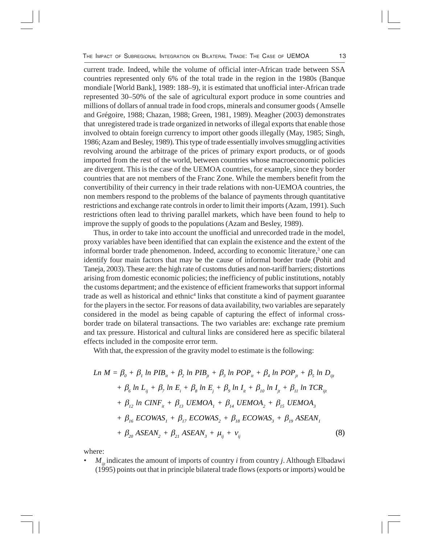current trade. Indeed, while the volume of official inter-African trade between SSA countries represented only 6% of the total trade in the region in the 1980s (Banque mondiale [World Bank], 1989: 188–9), it is estimated that unofficial inter-African trade represented 30–50% of the sale of agricultural export produce in some countries and millions of dollars of annual trade in food crops, minerals and consumer goods ( Amselle and Grégoire, 1988; Chazan, 1988; Green, 1981, 1989). Meagher (2003) demonstrates that unregistered trade is trade organized in networks of illegal exports that enable those involved to obtain foreign currency to import other goods illegally (May, 1985; Singh, 1986; Azam and Besley, 1989). This type of trade essentially involves smuggling activities revolving around the arbitrage of the prices of primary export products, or of goods imported from the rest of the world, between countries whose macroeconomic policies are divergent. This is the case of the UEMOA countries, for example, since they border countries that are not members of the Franc Zone. While the members benefit from the convertibility of their currency in their trade relations with non-UEMOA countries, the non members respond to the problems of the balance of payments through quantitative restrictions and exchange rate controls in order to limit their imports (Azam, 1991). Such restrictions often lead to thriving parallel markets, which have been found to help to improve the supply of goods to the populations (Azam and Besley, 1989).

Thus, in order to take into account the unofficial and unrecorded trade in the model, proxy variables have been identified that can explain the existence and the extent of the informal border trade phenomenon. Indeed, according to economic literature,<sup>3</sup> one can identify four main factors that may be the cause of informal border trade (Pohit and Taneja, 2003). These are: the high rate of customs duties and non-tariff barriers; distortions arising from domestic economic policies; the inefficiency of public institutions, notably the customs department; and the existence of efficient frameworks that support informal trade as well as historical and ethnic<sup>4</sup> links that constitute a kind of payment guarantee for the players in the sector. For reasons of data availability, two variables are separately considered in the model as being capable of capturing the effect of informal crossborder trade on bilateral transactions. The two variables are: exchange rate premium and tax pressure. Historical and cultural links are considered here as specific bilateral effects included in the composite error term.

With that, the expression of the gravity model to estimate is the following:

$$
Ln M = \beta_{0} + \beta_{1} ln PIB_{i} + \beta_{2} ln PIB_{j} + \beta_{3} ln POP_{i} + \beta_{4} ln POP_{j} + \beta_{5} ln D_{ij}
$$
  
+  $\beta_{6} ln L_{ij} + \beta_{7} ln E_{i} + \beta_{8} ln E_{j} + \beta_{9} ln I_{i} + \beta_{10} ln I_{j} + \beta_{11} ln TCR_{ij}$   
+  $\beta_{12} ln CINF_{i} + \beta_{13} UEMOA_{1} + \beta_{14} UEMOA_{2} + \beta_{15} UEMOA_{3}$   
+  $\beta_{16} ECOWAS_{1} + \beta_{17} ECOWAS_{2} + \beta_{18} ECOWAS_{3} + \beta_{19} ASEAN_{1}$   
+  $\beta_{20} ASEAN_{2} + \beta_{21} ASEAN_{3} + \mu_{ij} + \nu_{ij}$  (8)

where:

 $M_{ii}$  indicates the amount of imports of country *i* from country *j*. Although Elbadawi (1995) points out that in principle bilateral trade flows (exports or imports) would be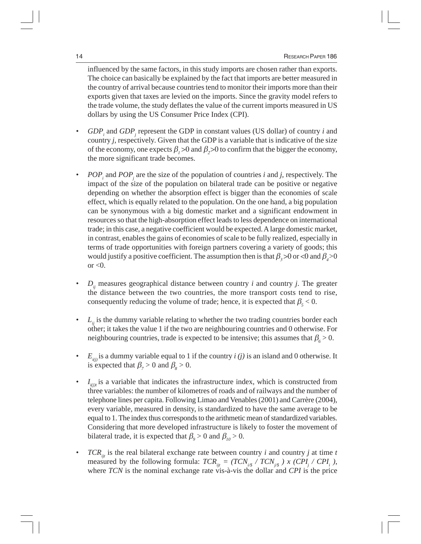influenced by the same factors, in this study imports are chosen rather than exports. The choice can basically be explained by the fact that imports are better measured in the country of arrival because countries tend to monitor their imports more than their exports given that taxes are levied on the imports. Since the gravity model refers to the trade volume, the study deflates the value of the current imports measured in US dollars by using the US Consumer Price Index (CPI).

- *GDP<sub>i</sub>* and *GDP<sub>j</sub>* represent the GDP in constant values (US dollar) of country *i* and country *j,* respectively. Given that the GDP is a variable that is indicative of the size of the economy, one expects  $\beta_1 > 0$  and  $\beta_2 > 0$  to confirm that the bigger the economy, the more significant trade becomes.
- *POP<sub>i</sub>* and *POP<sub>j</sub>* are the size of the population of countries *i* and *j*, respectively. The impact of the size of the population on bilateral trade can be positive or negative depending on whether the absorption effect is bigger than the economies of scale effect, which is equally related to the population. On the one hand, a big population can be synonymous with a big domestic market and a significant endowment in resources so that the high-absorption effect leads to less dependence on international trade; in this case, a negative coefficient would be expected. A large domestic market, in contrast, enables the gains of economies of scale to be fully realized, especially in terms of trade opportunities with foreign partners covering a variety of goods; this would justify a positive coefficient. The assumption then is that  $\beta_3 > 0$  or <0 and  $\beta_4 > 0$ or  $<0$ .
- $D_{ij}$  measures geographical distance between country *i* and country *j*. The greater the distance between the two countries, the more transport costs tend to rise, consequently reducing the volume of trade; hence, it is expected that  $\beta_{5}$  < 0.
- $\cdot$   $L_{ij}$  is the dummy variable relating to whether the two trading countries border each other; it takes the value 1 if the two are neighbouring countries and 0 otherwise. For neighbouring countries, trade is expected to be intensive; this assumes that  $\beta_6 > 0$ .
- $E_{ij}$  is a dummy variable equal to 1 if the country *i (j)* is an island and 0 otherwise. It is expected that  $\beta_7 > 0$  and  $\beta_8 > 0$ .
- $I_{i(j)}$  is a variable that indicates the infrastructure index, which is constructed from three variables: the number of kilometres of roads and of railways and the number of telephone lines per capita. Following Limao and Venables (2001) and Carrère (2004), every variable, measured in density, is standardized to have the same average to be equal to 1. The index thus corresponds to the arithmetic mean of standardized variables. Considering that more developed infrastructure is likely to foster the movement of bilateral trade, it is expected that  $\beta_{0} > 0$  and  $\beta_{10} > 0$ .
- $TCR_{ij}$  is the real bilateral exchange rate between country *i* and country *j* at time *t* measured by the following formula:  $TCR_{ijt} = (TCN_{i/8} / TCN_{j/8} ) x (CPI_{j} / CPI_{i} )$ , where *TCN* is the nominal exchange rate vis-à-vis the dollar and *CPI* is the price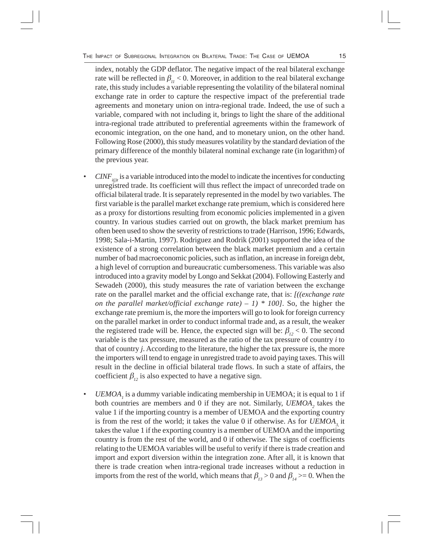index, notably the GDP deflator. The negative impact of the real bilateral exchange rate will be reflected in  $\beta_{11}$  < 0. Moreover, in addition to the real bilateral exchange rate, this study includes a variable representing the volatility of the bilateral nominal exchange rate in order to capture the respective impact of the preferential trade agreements and monetary union on intra-regional trade. Indeed, the use of such a variable, compared with not including it, brings to light the share of the additional intra-regional trade attributed to preferential agreements within the framework of economic integration, on the one hand, and to monetary union, on the other hand. Following Rose (2000), this study measures volatility by the standard deviation of the primary difference of the monthly bilateral nominal exchange rate (in logarithm) of the previous year.

- $CINF_{i(j)t}$  is a variable introduced into the model to indicate the incentives for conducting unregistred trade. Its coefficient will thus reflect the impact of unrecorded trade on official bilateral trade. It is separately represented in the model by two variables. The first variable is the parallel market exchange rate premium, which is considered here as a proxy for distortions resulting from economic policies implemented in a given country. In various studies carried out on growth, the black market premium has often been used to show the severity of restrictions to trade (Harrison, 1996; Edwards, 1998; Sala-i-Martin, 1997). Rodriguez and Rodrik (2001) supported the idea of the existence of a strong correlation between the black market premium and a certain number of bad macroeconomic policies, such as inflation, an increase in foreign debt, a high level of corruption and bureaucratic cumbersomeness. This variable was also introduced into a gravity model by Longo and Sekkat (2004). Following Easterly and Sewadeh (2000), this study measures the rate of variation between the exchange rate on the parallel market and the official exchange rate, that is: *[((exchange rate on the parallel market/official exchange rate) – 1) \* 100]*. So, the higher the exchange rate premium is, the more the importers will go to look for foreign currency on the parallel market in order to conduct informal trade and, as a result, the weaker the registered trade will be. Hence, the expected sign will be:  $\beta_{12}$  < 0. The second variable is the tax pressure, measured as the ratio of the tax pressure of country *i* to that of country *j*. According to the literature, the higher the tax pressure is, the more the importers will tend to engage in unregistred trade to avoid paying taxes. This will result in the decline in official bilateral trade flows. In such a state of affairs, the coefficient  $\beta_{i2}$  is also expected to have a negative sign.
- *UEMOA<sub>1</sub>* is a dummy variable indicating membership in UEMOA; it is equal to 1 if both countries are members and 0 if they are not. Similarly, *UEMOA*<sub>2</sub> takes the value 1 if the importing country is a member of UEMOA and the exporting country is from the rest of the world; it takes the value 0 if otherwise. As for  $UEMOA<sub>3</sub>$  it takes the value 1 if the exporting country is a member of UEMOA and the importing country is from the rest of the world, and 0 if otherwise. The signs of coefficients relating to the UEMOA variables will be useful to verify if there is trade creation and import and export diversion within the integration zone. After all, it is known that there is trade creation when intra-regional trade increases without a reduction in imports from the rest of the world, which means that  $\beta_{13} > 0$  and  $\beta_{14} > = 0$ . When the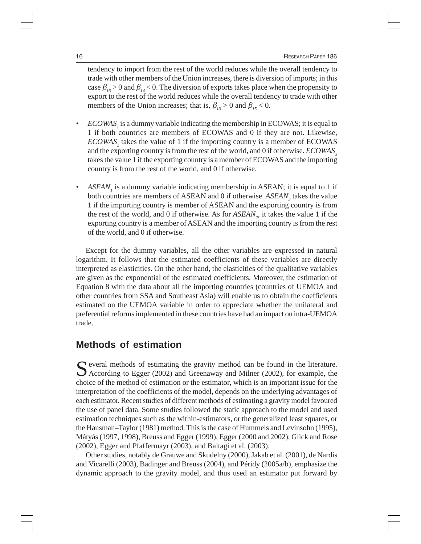tendency to import from the rest of the world reduces while the overall tendency to trade with other members of the Union increases, there is diversion of imports; in this case  $\beta_{13} > 0$  and  $\beta_{14} < 0$ . The diversion of exports takes place when the propensity to export to the rest of the world reduces while the overall tendency to trade with other members of the Union increases; that is,  $\beta_{13} > 0$  and  $\beta_{15} < 0$ .

- *ECOWAS<sub>1</sub>* is a dummy variable indicating the membership in ECOWAS; it is equal to 1 if both countries are members of ECOWAS and 0 if they are not. Likewise, *ECOWAS*<sub>2</sub> takes the value of 1 if the importing country is a member of ECOWAS and the exporting country is from the rest of the world, and 0 if otherwise. *ECOWAS*<sub>3</sub> takes the value 1 if the exporting country is a member of ECOWAS and the importing country is from the rest of the world, and 0 if otherwise.
- ASEAN<sub>1</sub> is a dummy variable indicating membership in ASEAN; it is equal to 1 if both countries are members of ASEAN and 0 if otherwise. *ASEAN*<sub>2</sub> takes the value 1 if the importing country is member of ASEAN and the exporting country is from the rest of the world, and 0 if otherwise. As for  $ASEAN_2$ , it takes the value 1 if the exporting country is a member of ASEAN and the importing country is from the rest of the world, and 0 if otherwise.

Except for the dummy variables, all the other variables are expressed in natural logarithm. It follows that the estimated coefficients of these variables are directly interpreted as elasticities. On the other hand, the elasticities of the qualitative variables are given as the exponential of the estimated coefficients. Moreover, the estimation of Equation 8 with the data about all the importing countries (countries of UEMOA and other countries from SSA and Southeast Asia) will enable us to obtain the coefficients estimated on the UEMOA variable in order to appreciate whether the unilateral and preferential reforms implemented in these countries have had an impact on intra-UEMOA trade.

#### **Methods of estimation**

Several methods of estimating the gravity method can be found in the literature.<br>According to Egger (2002) and Greenaway and Milner (2002), for example, the choice of the method of estimation or the estimator, which is an important issue for the interpretation of the coefficients of the model, depends on the underlying advantages of each estimator. Recent studies of different methods of estimating a gravity model favoured the use of panel data. Some studies followed the static approach to the model and used estimation techniques such as the within-estimators, or the generalized least squares, or the Hausman–Taylor (1981) method. This is the case of Hummels and Levinsohn (1995), Mátyás (1997, 1998), Breuss and Egger (1999), Egger (2000 and 2002), Glick and Rose (2002), Egger and Pfaffermayr (2003), and Baltagi et al. (2003).

Other studies, notably de Grauwe and Skudelny (2000), Jakab et al. (2001), de Nardis and Vicarelli (2003), Badinger and Breuss (2004), and Péridy (2005a/b), emphasize the dynamic approach to the gravity model, and thus used an estimator put forward by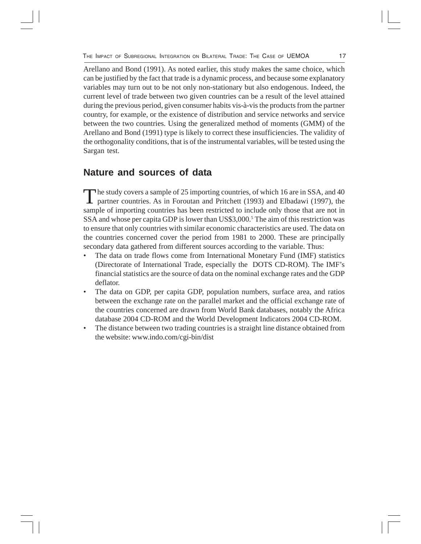Arellano and Bond (1991). As noted earlier, this study makes the same choice, which can be justified by the fact that trade is a dynamic process, and because some explanatory variables may turn out to be not only non-stationary but also endogenous. Indeed, the current level of trade between two given countries can be a result of the level attained during the previous period, given consumer habits vis-à-vis the products from the partner country, for example, or the existence of distribution and service networks and service between the two countries. Using the generalized method of moments (GMM) of the Arellano and Bond (1991) type is likely to correct these insufficiencies. The validity of the orthogonality conditions, that is of the instrumental variables, will be tested using the Sargan test.

### **Nature and sources of data**

The study covers a sample of 25 importing countries, of which 16 are in SSA, and 40 partner countries. As in Foroutan and Pritchett (1993) and Elbadawi (1997), the sample of importing countries has been restricted to include only those that are not in SSA and whose per capita GDP is lower than US\$3,000.<sup>5</sup> The aim of this restriction was to ensure that only countries with similar economic characteristics are used. The data on the countries concerned cover the period from 1981 to 2000. These are principally secondary data gathered from different sources according to the variable. Thus:

- The data on trade flows come from International Monetary Fund (IMF) statistics (Directorate of International Trade, especially the DOTS CD-ROM). The IMF's financial statistics are the source of data on the nominal exchange rates and the GDP deflator.
- The data on GDP, per capita GDP, population numbers, surface area, and ratios between the exchange rate on the parallel market and the official exchange rate of the countries concerned are drawn from World Bank databases, notably the Africa database 2004 CD-ROM and the World Development Indicators 2004 CD-ROM.
- The distance between two trading countries is a straight line distance obtained from the website: www.indo.com/cgi-bin/dist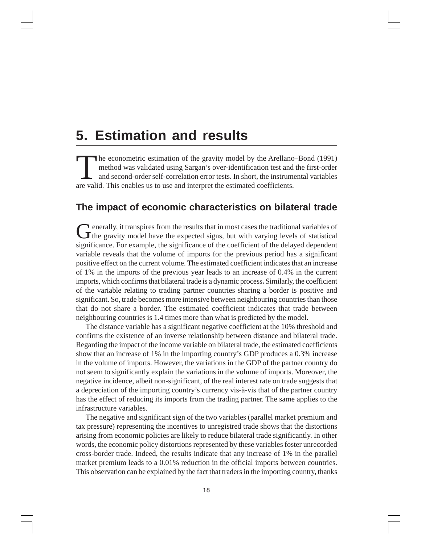### **5. Estimation and results**

The econometric estimation of the gravity model by the Arellano–Bond (1991) method was validated using Sargan's over-identification test and the first-order and second-order self-correlation error tests. In short, the instrumental variables are valid. This enables us to use and interpret the estimated coefficients.

#### **The impact of economic characteristics on bilateral trade**

Generally, it transpires from the results that in most cases the traditional variables of the gravity model have the expected signs, but with varying levels of statistical significance. For example, the significance of the coefficient of the delayed dependent variable reveals that the volume of imports for the previous period has a significant positive effect on the current volume. The estimated coefficient indicates that an increase of 1% in the imports of the previous year leads to an increase of 0.4% in the current imports, which confirms that bilateral trade is a dynamic process**.** Similarly, the coefficient of the variable relating to trading partner countries sharing a border is positive and significant. So, trade becomes more intensive between neighbouring countries than those that do not share a border. The estimated coefficient indicates that trade between neighbouring countries is 1.4 times more than what is predicted by the model.

The distance variable has a significant negative coefficient at the 10% threshold and confirms the existence of an inverse relationship between distance and bilateral trade. Regarding the impact of the income variable on bilateral trade, the estimated coefficients show that an increase of 1% in the importing country's GDP produces a 0.3% increase in the volume of imports. However, the variations in the GDP of the partner country do not seem to significantly explain the variations in the volume of imports. Moreover, the negative incidence, albeit non-significant, of the real interest rate on trade suggests that a depreciation of the importing country's currency vis-à-vis that of the partner country has the effect of reducing its imports from the trading partner. The same applies to the infrastructure variables.

The negative and significant sign of the two variables (parallel market premium and tax pressure) representing the incentives to unregistred trade shows that the distortions arising from economic policies are likely to reduce bilateral trade significantly. In other words, the economic policy distortions represented by these variables foster unrecorded cross-border trade. Indeed, the results indicate that any increase of 1% in the parallel market premium leads to a 0.01% reduction in the official imports between countries. This observation can be explained by the fact that traders in the importing country, thanks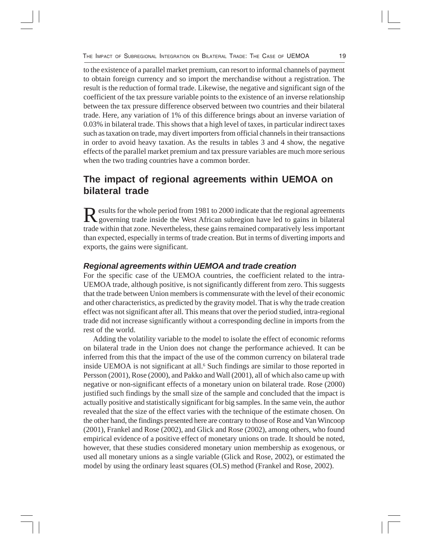to the existence of a parallel market premium, can resort to informal channels of payment to obtain foreign currency and so import the merchandise without a registration. The result is the reduction of formal trade. Likewise, the negative and significant sign of the coefficient of the tax pressure variable points to the existence of an inverse relationship between the tax pressure difference observed between two countries and their bilateral trade. Here, any variation of 1% of this difference brings about an inverse variation of 0.03% in bilateral trade. This shows that a high level of taxes, in particular indirect taxes such as taxation on trade, may divert importers from official channels in their transactions in order to avoid heavy taxation. As the results in tables 3 and 4 show, the negative effects of the parallel market premium and tax pressure variables are much more serious when the two trading countries have a common border.

### **The impact of regional agreements within UEMOA on bilateral trade**

Results for the whole period from 1981 to 2000 indicate that the regional agreements<br>governing trade inside the West African subregion have led to gains in bilateral trade within that zone. Nevertheless, these gains remained comparatively less important than expected, especially in terms of trade creation. But in terms of diverting imports and exports, the gains were significant.

#### *Regional agreements within UEMOA and trade creation*

For the specific case of the UEMOA countries, the coefficient related to the intra-UEMOA trade, although positive, is not significantly different from zero. This suggests that the trade between Union members is commensurate with the level of their economic and other characteristics, as predicted by the gravity model. That is why the trade creation effect was not significant after all. This means that over the period studied, intra-regional trade did not increase significantly without a corresponding decline in imports from the rest of the world.

Adding the volatility variable to the model to isolate the effect of economic reforms on bilateral trade in the Union does not change the performance achieved. It can be inferred from this that the impact of the use of the common currency on bilateral trade inside UEMOA is not significant at all.<sup>6</sup> Such findings are similar to those reported in Persson (2001), Rose (2000), and Pakko and Wall (2001), all of which also came up with negative or non-significant effects of a monetary union on bilateral trade. Rose (2000) justified such findings by the small size of the sample and concluded that the impact is actually positive and statistically significant for big samples. In the same vein, the author revealed that the size of the effect varies with the technique of the estimate chosen. On the other hand, the findings presented here are contrary to those of Rose and Van Wincoop (2001), Frankel and Rose (2002), and Glick and Rose (2002), among others, who found empirical evidence of a positive effect of monetary unions on trade. It should be noted, however, that these studies considered monetary union membership as exogenous, or used all monetary unions as a single variable (Glick and Rose, 2002), or estimated the model by using the ordinary least squares (OLS) method (Frankel and Rose, 2002).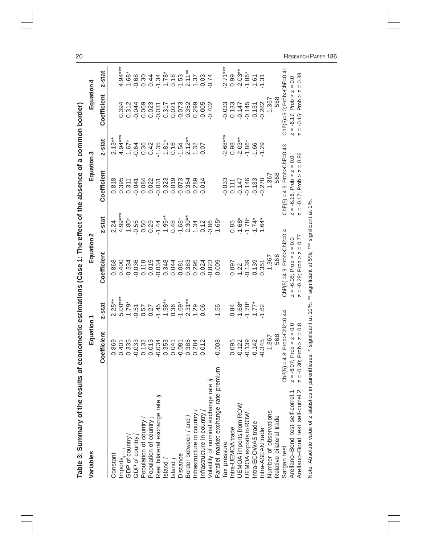| Table 3: Summary of the results o                                              |                                                                                      |                      | f econometric estimations (Case 1: The effect of the absence of a common border)                                                                |                                 |                                                                                            |                                    |                                                                          |                                         |
|--------------------------------------------------------------------------------|--------------------------------------------------------------------------------------|----------------------|-------------------------------------------------------------------------------------------------------------------------------------------------|---------------------------------|--------------------------------------------------------------------------------------------|------------------------------------|--------------------------------------------------------------------------|-----------------------------------------|
| Variables                                                                      | Equation                                                                             |                      | Equation                                                                                                                                        | ∾                               | Equation                                                                                   | ო                                  | Equation 4                                                               |                                         |
|                                                                                | Coefficient                                                                          | z-stat               | Coefficient                                                                                                                                     | z-stat                          | Coefficient                                                                                | z-stat                             | Coefficient                                                              | z-stat                                  |
| Constant                                                                       | 0.869                                                                                |                      | 0.868                                                                                                                                           | 2.24                            | 0.818                                                                                      | $2.13**$                           |                                                                          |                                         |
|                                                                                | 0.401                                                                                | $2.25***$<br>5.00*** | 0.400                                                                                                                                           | $4.99***$                       | 0.395                                                                                      | $4.94***$                          | 0.394                                                                    | $4.94***$                               |
| Imports <sub>it +1</sub><br>GDP of country <i>i</i><br>GDP of country <i>j</i> | 0.335                                                                                | $1.79*$              | $-0.334$                                                                                                                                        | $1.80*$                         | 0.311                                                                                      | $1.67*$                            | 0.312                                                                    | $1.68*$                                 |
|                                                                                | $-0.033$                                                                             | $-0.51$              | $-0.036$                                                                                                                                        | $-0.55$                         | $-0.041$                                                                                   | $-0.64$                            | $-0.044$                                                                 | $-0.68$                                 |
| Population of country                                                          | 0.132                                                                                | $0.57$<br>$0.27$     | 0.118                                                                                                                                           | 0.50                            | 0.084                                                                                      |                                    | 0.069                                                                    | 0.30                                    |
| Population of country j<br>Real bilateral exchange rate <i>ij</i>              | 0.013                                                                                |                      | 0.015                                                                                                                                           | 0.29                            | 0.022                                                                                      | $0.36$<br>$0.42$<br>$-1.35$        | 0.023                                                                    | 0.44                                    |
|                                                                                | $-0.034$                                                                             | $-1.45$              | $-0.034$                                                                                                                                        | $-1.44$                         | $-0.031$                                                                                   |                                    | $-0.031$                                                                 | $-1.34$                                 |
| sland i                                                                        | 0.353                                                                                | $1.98***$            | 0.348                                                                                                                                           | $1.95***$                       | 0.323                                                                                      | $1.\overline{81}$<br>0.16<br>-1.54 | 0.317                                                                    | $1.78*$                                 |
| Island j                                                                       | 0.041                                                                                | 0.36                 | 0.044                                                                                                                                           | 0.48                            | 0.019                                                                                      |                                    | 0.021                                                                    | 0.18                                    |
| Distance                                                                       | $-0.081$                                                                             | $-1.69*$             | $-0.081$                                                                                                                                        | $-1.68*$                        | $-0.073$                                                                                   |                                    | $-0.073$                                                                 | $-1.53$                                 |
| Border between <i>i</i> and                                                    | 0.385                                                                                |                      | 0.383                                                                                                                                           | $2.30**$                        | 0.354                                                                                      |                                    | 0.352                                                                    | $2.11***$                               |
|                                                                                | 0.284                                                                                | $2.31**$<br>1.29     | 0.295                                                                                                                                           | 1.34                            | 0.289                                                                                      | $2.12**$<br>1.32<br>-0.07          | 0.299                                                                    | 1.37                                    |
| Infrastructure in country <i>i</i><br>Infrastructure in country <i>j</i>       | 0.012                                                                                | 0.06                 | 0.024                                                                                                                                           | 0.12                            | 0.014                                                                                      |                                    | $-0.005$                                                                 | $-0.03$                                 |
| Volatility of nominal exchange rate ij                                         |                                                                                      |                      | $-0.823$                                                                                                                                        | $-0.86$                         |                                                                                            |                                    | $-0.702$                                                                 | 0.74                                    |
| Parallel market exchange rate premium                                          | $-0.008$                                                                             | $-1.55$              | 0.009                                                                                                                                           | $-1.65*$                        |                                                                                            |                                    |                                                                          |                                         |
|                                                                                |                                                                                      |                      |                                                                                                                                                 |                                 | $-0.033$                                                                                   | $2.68***$                          | $-0.033$                                                                 | $-2.71***$                              |
| Tax pressure<br>Intra-UEMOA trade                                              | 0.095                                                                                | 0.84                 | 0.097                                                                                                                                           | 0.85                            | 0.111                                                                                      | 0.98                               | 0.133                                                                    | 0.99                                    |
| JEMOA imports from ROW                                                         | $-0.122$                                                                             | $-1.68*$             | $-1.22$                                                                                                                                         | $-1.68*$                        | $-0.147$                                                                                   | $-2.03**$                          | $-0.147$                                                                 | $-2.03***$                              |
| UEMOA exports to ROW<br>Intra-ECOWAS trade                                     | $-0.139$                                                                             | $-1.78*$             | $-0.139$                                                                                                                                        | $-1.78*$                        | $-0.146$                                                                                   | $-1.86*$                           | $-0.145$                                                                 | $-1.86*$                                |
|                                                                                | $-0.142$                                                                             | $-1.77*$             | $-0.139$                                                                                                                                        | $-1.74*$                        | $-0.133$                                                                                   | $-1.66$                            | $-0.131$                                                                 | $-1.61$                                 |
| ntra-ASEAN trade                                                               | $-0.345$                                                                             | $-1.62$              | 0.351                                                                                                                                           | $1.64*$                         | $-0.278$                                                                                   | $-1.29$                            | $-0.282$                                                                 | $-1.31$                                 |
| Number of observations                                                         | 1,367                                                                                |                      | 1,367<br>568                                                                                                                                    |                                 | 1,367<br>568                                                                               |                                    | 1,367<br>568                                                             |                                         |
| Relative bilateral trade                                                       | 568                                                                                  |                      |                                                                                                                                                 |                                 |                                                                                            |                                    |                                                                          |                                         |
| Sargan test                                                                    | $Chi2(5) = 4.8; ProbSChi2=0.44$                                                      |                      | Chi <sup>2</sup> (5) =4.9; Prob>Chi2=0.4                                                                                                        |                                 | $Ch2(5) = 4.9$ ; Prob>Chi <sup>2</sup> =0.43                                               |                                    | Chi <sup>2</sup> (5)=5.0; Prob>Chi <sup>2</sup> =0.4                     |                                         |
| Arellano-Bond test self-correl.2<br>Arellano-Bond test self-correl.1           | $5.07$ ; Prob $> z = 0.0$<br>0.8<br>Ш<br>$z = -0.30$ ; Prob > z<br>$\frac{1}{2} = 5$ |                      | $= -6.08$ ; Prob $> z = 0.0$<br>$\mathsf{II}$<br>$\overline{\phantom{a}}$<br>Prob ><br>$-0.28$<br>$\mathbf{II}$<br>N<br>$\overline{\mathsf{N}}$ | $\overline{\mathsf{N}}$<br>0.77 | $z = -6.16$ ; Prob $> z = 0.0$<br>$\mathsf{II}$<br>N<br>$-0.17$ ; Prob ><br>$\mathsf{II}%$ | $\overline{\mathsf{N}}$<br>0.86    | $= -6.17$ ; Prob $> z = 0.0$<br>Λ<br>Prob:<br>$-0.15$ ;<br>$\mathsf{II}$ | 0.88<br>$\label{eq:1} \mathsf{II}$<br>N |
| Note: Absolute value of z statistics in parentheses; * significant at 10%;     |                                                                                      |                      | ** significant at 5%; ***                                                                                                                       | significant at 1%.              |                                                                                            |                                    |                                                                          |                                         |

RESEARCH PAPER 186

 $\frac{20}{1}$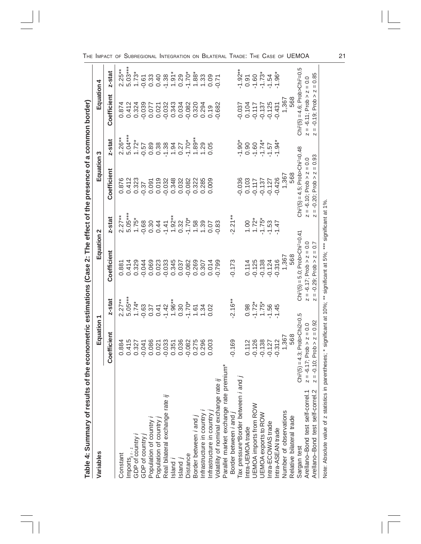| Table 4: Summary of results of the econometric estimations                                                              |                                    |                             |                                                    |                                                                                                                                                                                                                                                                                                                                                                                                                                                                         | Case 2: The effect of the presence of a common border) |                              |                                             |                             |
|-------------------------------------------------------------------------------------------------------------------------|------------------------------------|-----------------------------|----------------------------------------------------|-------------------------------------------------------------------------------------------------------------------------------------------------------------------------------------------------------------------------------------------------------------------------------------------------------------------------------------------------------------------------------------------------------------------------------------------------------------------------|--------------------------------------------------------|------------------------------|---------------------------------------------|-----------------------------|
| Variables                                                                                                               | Equation 1                         |                             | Equation 2                                         |                                                                                                                                                                                                                                                                                                                                                                                                                                                                         | Equation 3                                             |                              | Equation 4                                  |                             |
|                                                                                                                         | Coefficient                        | z-stat                      | Coefficient                                        | z-stat                                                                                                                                                                                                                                                                                                                                                                                                                                                                  | Coefficient                                            | z-stat                       | Coefficient                                 | z-stat                      |
| Constant                                                                                                                | 0.884                              | $2.27**$                    |                                                    | $2.27**$                                                                                                                                                                                                                                                                                                                                                                                                                                                                | 0.876                                                  | $2.26***$                    | 0.874                                       |                             |
|                                                                                                                         | 0.415                              |                             | $0.881$<br>0.414                                   | 5.05***                                                                                                                                                                                                                                                                                                                                                                                                                                                                 | 0.412                                                  |                              |                                             | $2.25***$<br>5.03***        |
| $\mathsf{Imports}_{i' t^{r-1}}$<br>GDP of country                                                                       | 0.327                              | $5.05***$<br>1.74*          | 0.329                                              | $1.75*$                                                                                                                                                                                                                                                                                                                                                                                                                                                                 | 0.323                                                  | $5.04***$<br>1.72*           | 0.412<br>0.324                              | $1.73*$                     |
| GDP of country                                                                                                          | $-0.041$                           | $-0.63$                     | $-0.044$                                           | $-0.68$                                                                                                                                                                                                                                                                                                                                                                                                                                                                 | $-0.37$                                                | $-0.57$                      | $-0.039$                                    | $-0.61$                     |
| Population of country                                                                                                   | 0.086                              | $0.37$<br>$0.41$<br>$-1.42$ | 0.069                                              |                                                                                                                                                                                                                                                                                                                                                                                                                                                                         | 0.091                                                  |                              |                                             |                             |
|                                                                                                                         | 0.021                              |                             | 0.023                                              | $0.30$<br>0.44                                                                                                                                                                                                                                                                                                                                                                                                                                                          | 0.019                                                  | $0.89$<br>$0.38$<br>$-1$     | 0.077<br>0.021                              | $0.33$<br>$0.40$<br>$-1.38$ |
| Population of country <i>j</i><br>Real bilateral exchange rate <i>ij</i>                                                |                                    |                             | $-0.033$                                           | $-1.41$                                                                                                                                                                                                                                                                                                                                                                                                                                                                 |                                                        |                              | $-0.032$                                    |                             |
| Island                                                                                                                  | 0.351                              | $1.96**$                    | 0.345                                              |                                                                                                                                                                                                                                                                                                                                                                                                                                                                         | 0.348                                                  |                              | 0.343                                       |                             |
| sland                                                                                                                   | 0.036                              | 0.30                        | 0.037                                              | $\begin{array}{c} 1.92** \\ 0.32 \end{array}$                                                                                                                                                                                                                                                                                                                                                                                                                           | 0.032                                                  | $1.94$<br>$7.70*$<br>$1.70*$ | 0.034                                       | $1.91*$<br>0.29             |
| Distance                                                                                                                | $-0.082$                           | $-1.70*$                    | $-0.082$                                           | $-1.70*$                                                                                                                                                                                                                                                                                                                                                                                                                                                                | $-0.082$                                               |                              | $-0.082$                                    | $-1.70*$                    |
| Border between <i>i</i> and <i>j</i>                                                                                    | 0.275                              | 1.61                        | 0.269                                              | 1.58                                                                                                                                                                                                                                                                                                                                                                                                                                                                    | 0.322                                                  | $1.89***$                    | 0.320                                       |                             |
| Infrastructure in country i                                                                                             | 0.296<br>0.003                     | 1.34                        | 0.307                                              | 1.39                                                                                                                                                                                                                                                                                                                                                                                                                                                                    | 0.285                                                  | $1.29$<br>0.05               | 0.294                                       | 1.33                        |
| Infrastructure in country j                                                                                             |                                    |                             | 0.014                                              | 0.07                                                                                                                                                                                                                                                                                                                                                                                                                                                                    | 0.009                                                  |                              | 0.19                                        | 0.09                        |
| Volatility of nominal exchange rate ij                                                                                  |                                    |                             | $-0.799$                                           | 0.83                                                                                                                                                                                                                                                                                                                                                                                                                                                                    |                                                        |                              | $-0.682$                                    | 0.71                        |
| Parallel market exchange rate premium*                                                                                  |                                    |                             |                                                    |                                                                                                                                                                                                                                                                                                                                                                                                                                                                         |                                                        |                              |                                             |                             |
| Border between <i>i</i> and <i>j</i>                                                                                    | $-0.169$                           | $-2.16**$                   | $-0.173$                                           | $-2.21**$                                                                                                                                                                                                                                                                                                                                                                                                                                                               |                                                        |                              |                                             |                             |
| Tax pressure*Border between <i>i</i> and <i>j</i><br>Intra-UEMOA trade                                                  |                                    |                             |                                                    |                                                                                                                                                                                                                                                                                                                                                                                                                                                                         | $-0.036$                                               | $-1.90*$                     | $-0.037$                                    | $-1.92**$                   |
|                                                                                                                         | 0.112                              | 0.98                        | 0.114                                              | 1.00                                                                                                                                                                                                                                                                                                                                                                                                                                                                    | 0.103                                                  | 0.90                         | 0.104                                       | 0.91                        |
| UEMOA imports from ROW                                                                                                  | $-0.126$                           | $-1.72*$                    | $-0.125$                                           |                                                                                                                                                                                                                                                                                                                                                                                                                                                                         | $-0.117$                                               | $-1.60$                      | $-0.117$                                    | $-1.60$                     |
| UEMOA exports to ROW                                                                                                    | $-0.138$<br>$-0.127$               | $1.75*$                     | $-0.138$                                           | $1.72$ <sup>*</sup>                                                                                                                                                                                                                                                                                                                                                                                                                                                     | $-0.137$                                               | $-1.57$<br>$-1.57$           | $-0.137$                                    | $-1.73*$                    |
| Intra-ECOWAS trade                                                                                                      |                                    | $-1.56$                     | $-0.124$                                           | $-1.53$                                                                                                                                                                                                                                                                                                                                                                                                                                                                 | $-0.127$                                               |                              | $-0.125$                                    | $-1.54$                     |
| Intra-ASEAN trade                                                                                                       | $-0.312$                           | $-1.45$                     | $-0.316$                                           | $-1.47$                                                                                                                                                                                                                                                                                                                                                                                                                                                                 | $-0.426$                                               | $-1.94*$                     | $-0.431$                                    | $-1.96*$                    |
| Number of observations                                                                                                  | 1,367<br>568                       |                             | 1,367                                              |                                                                                                                                                                                                                                                                                                                                                                                                                                                                         | 1,367<br>568                                           |                              | 1,367                                       |                             |
| Relative bilateral trade                                                                                                |                                    |                             | 568                                                |                                                                                                                                                                                                                                                                                                                                                                                                                                                                         |                                                        |                              | 568                                         |                             |
| Sargan test                                                                                                             | $Chi^2(5) = 4.3; ProbSchi2=0.5$    |                             | $Ch2(5) = 5.0$ ; Prob>Chi <sup>2</sup> =0.41       |                                                                                                                                                                                                                                                                                                                                                                                                                                                                         | $Ch2(5) = 4.5$ ; Prob>Chi <sup>2</sup> =0.48           |                              | $Ch2(5) = 4.6$ ; Prob>Chi <sup>2</sup> =0.5 |                             |
| Arellano-Bond test self-correl.1                                                                                        | $z = -6.17$ ; Prob $> z = 0.0$     |                             | $z = -6.17$ ; Prob $z = 0.0$                       |                                                                                                                                                                                                                                                                                                                                                                                                                                                                         | $z = -6.10$ ; Prob $z = 0.0$                           |                              | $z = -6.11$ ; Prob $z = 0.0$                |                             |
| Arellano-Bond test self-correl.2                                                                                        | $z = 0.92$<br>$z = -0.10$ ; Prob > |                             | 0.7<br>$\bar{\text{II}}$<br>$= -0.29$ ; Prob $> z$ | $\mathop{  }% \text{log}(p_{\theta}^{*})\mathop{  }% \text{log}(p_{\theta}^{*})\mathop{  }% \text{log}(p_{\theta}^{*})\mathop{  }% \text{log}(p_{\theta}^{*})\mathop{  }% \text{log}(p_{\theta}^{*})\mathop{  }% \text{log}(p_{\theta}^{*})\mathop{  }% \text{log}(p_{\theta}^{*})\mathop{  }% \text{log}(p_{\theta}^{*})\mathop{  }% \text{log}(p_{\theta}^{*})\mathop{  }% \text{log}(p_{\theta}^{*})\mathop{  }% \text{log}(p_{\theta}^{*})\mathop{  }% \text{log}($ | ٨<br>$-0.20$ ; Prob                                    | 0.93                         | Prob ><br>$-0.19;$<br>$\sf II$              | 0.85<br>Ш<br>N              |
| Note: Absolute value of z statistics in parentheses; * significant at 10%; ** significant at 5%; *** significant at 1%. |                                    |                             |                                                    |                                                                                                                                                                                                                                                                                                                                                                                                                                                                         |                                                        |                              |                                             |                             |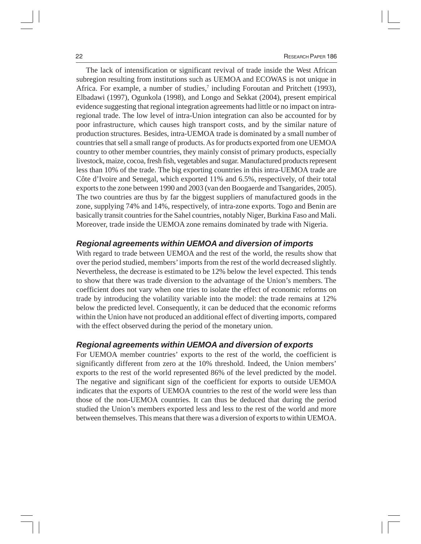The lack of intensification or significant revival of trade inside the West African subregion resulting from institutions such as UEMOA and ECOWAS is not unique in Africa. For example, a number of studies,<sup>7</sup> including Foroutan and Pritchett (1993), Elbadawi (1997), Ogunkola (1998), and Longo and Sekkat (2004), present empirical evidence suggesting that regional integration agreements had little or no impact on intraregional trade. The low level of intra-Union integration can also be accounted for by poor infrastructure, which causes high transport costs, and by the similar nature of production structures. Besides, intra-UEMOA trade is dominated by a small number of countries that sell a small range of products. As for products exported from one UEMOA country to other member countries, they mainly consist of primary products, especially livestock, maize, cocoa, fresh fish, vegetables and sugar. Manufactured products represent less than 10% of the trade. The big exporting countries in this intra-UEMOA trade are Côte d'Ivoire and Senegal, which exported 11% and 6.5%, respectively, of their total exports to the zone between 1990 and 2003 (van den Boogaerde and Tsangarides, 2005). The two countries are thus by far the biggest suppliers of manufactured goods in the zone, supplying 74% and 14%, respectively, of intra-zone exports. Togo and Benin are basically transit countries for the Sahel countries, notably Niger, Burkina Faso and Mali. Moreover, trade inside the UEMOA zone remains dominated by trade with Nigeria.

#### *Regional agreements within UEMOA and diversion of imports*

With regard to trade between UEMOA and the rest of the world, the results show that over the period studied, members' imports from the rest of the world decreased slightly. Nevertheless, the decrease is estimated to be 12% below the level expected. This tends to show that there was trade diversion to the advantage of the Union's members. The coefficient does not vary when one tries to isolate the effect of economic reforms on trade by introducing the volatility variable into the model: the trade remains at 12% below the predicted level. Consequently, it can be deduced that the economic reforms within the Union have not produced an additional effect of diverting imports, compared with the effect observed during the period of the monetary union.

#### *Regional agreements within UEMOA and diversion of exports*

For UEMOA member countries' exports to the rest of the world, the coefficient is significantly different from zero at the 10% threshold. Indeed, the Union members' exports to the rest of the world represented 86% of the level predicted by the model. The negative and significant sign of the coefficient for exports to outside UEMOA indicates that the exports of UEMOA countries to the rest of the world were less than those of the non-UEMOA countries. It can thus be deduced that during the period studied the Union's members exported less and less to the rest of the world and more between themselves. This means that there was a diversion of exports to within UEMOA.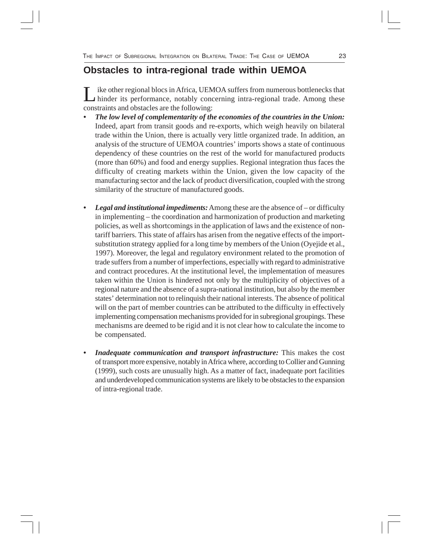### **Obstacles to intra-regional trade within UEMOA**

ike other regional blocs in Africa, UEMOA suffers from numerous bottlenecks that hinder its performance, notably concerning intra-regional trade. Among these constraints and obstacles are the following:

- *The low level of complementarity of the economies of the countries in the Union:* Indeed, apart from transit goods and re-exports, which weigh heavily on bilateral trade within the Union, there is actually very little organized trade. In addition, an analysis of the structure of UEMOA countries' imports shows a state of continuous dependency of these countries on the rest of the world for manufactured products (more than 60%) and food and energy supplies. Regional integration thus faces the difficulty of creating markets within the Union, given the low capacity of the manufacturing sector and the lack of product diversification, coupled with the strong similarity of the structure of manufactured goods.
- *Legal and institutional impediments:* Among these are the absence of or difficulty in implementing – the coordination and harmonization of production and marketing policies, as well as shortcomings in the application of laws and the existence of nontariff barriers. This state of affairs has arisen from the negative effects of the importsubstitution strategy applied for a long time by members of the Union (Oyejide et al., 1997). Moreover, the legal and regulatory environment related to the promotion of trade suffers from a number of imperfections, especially with regard to administrative and contract procedures. At the institutional level, the implementation of measures taken within the Union is hindered not only by the multiplicity of objectives of a regional nature and the absence of a supra-national institution, but also by the member states' determination not to relinquish their national interests. The absence of political will on the part of member countries can be attributed to the difficulty in effectively implementing compensation mechanisms provided for in subregional groupings. These mechanisms are deemed to be rigid and it is not clear how to calculate the income to be compensated.
- *Inadequate communication and transport infrastructure:* This makes the cost of transport more expensive, notably in Africa where, according to Collier and Gunning (1999), such costs are unusually high. As a matter of fact, inadequate port facilities and underdeveloped communication systems are likely to be obstacles to the expansion of intra-regional trade.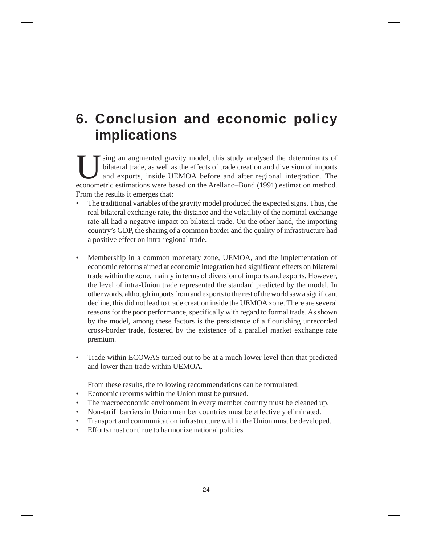### **6. Conclusion and economic policy implications**

sing an augmented gravity model, this study analysed the determinants of bilateral trade, as well as the effects of trade creation and diversion of imports and exports, inside UEMOA before and after regional integration. The econometric estimations were based on the Arellano–Bond (1991) estimation method. From the results it emerges that:

- The traditional variables of the gravity model produced the expected signs. Thus, the real bilateral exchange rate, the distance and the volatility of the nominal exchange rate all had a negative impact on bilateral trade. On the other hand, the importing country's GDP, the sharing of a common border and the quality of infrastructure had a positive effect on intra-regional trade.
- Membership in a common monetary zone, UEMOA, and the implementation of economic reforms aimed at economic integration had significant effects on bilateral trade within the zone, mainly in terms of diversion of imports and exports. However, the level of intra-Union trade represented the standard predicted by the model. In other words, although imports from and exports to the rest of the world saw a significant decline, this did not lead to trade creation inside the UEMOA zone. There are several reasons for the poor performance, specifically with regard to formal trade. As shown by the model, among these factors is the persistence of a flourishing unrecorded cross-border trade, fostered by the existence of a parallel market exchange rate premium.
- Trade within ECOWAS turned out to be at a much lower level than that predicted and lower than trade within UEMOA.

From these results, the following recommendations can be formulated:

- Economic reforms within the Union must be pursued.
- The macroeconomic environment in every member country must be cleaned up.
- Non-tariff barriers in Union member countries must be effectively eliminated.
- Transport and communication infrastructure within the Union must be developed.
- Efforts must continue to harmonize national policies.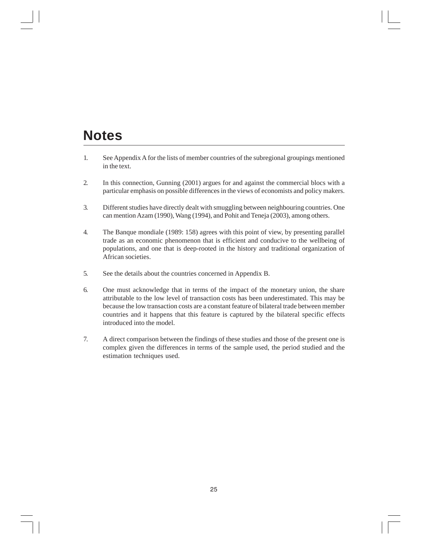### **Notes**

- 1. See Appendix A for the lists of member countries of the subregional groupings mentioned in the text.
- 2. In this connection, Gunning (2001) argues for and against the commercial blocs with a particular emphasis on possible differences in the views of economists and policy makers.
- 3. Different studies have directly dealt with smuggling between neighbouring countries. One can mention Azam (1990), Wang (1994), and Pohit and Teneja (2003), among others.
- 4. The Banque mondiale (1989: 158) agrees with this point of view, by presenting parallel trade as an economic phenomenon that is efficient and conducive to the wellbeing of populations, and one that is deep-rooted in the history and traditional organization of African societies.
- 5. See the details about the countries concerned in Appendix B.
- 6. One must acknowledge that in terms of the impact of the monetary union, the share attributable to the low level of transaction costs has been underestimated. This may be because the low transaction costs are a constant feature of bilateral trade between member countries and it happens that this feature is captured by the bilateral specific effects introduced into the model.
- 7. A direct comparison between the findings of these studies and those of the present one is complex given the differences in terms of the sample used, the period studied and the estimation techniques used.

25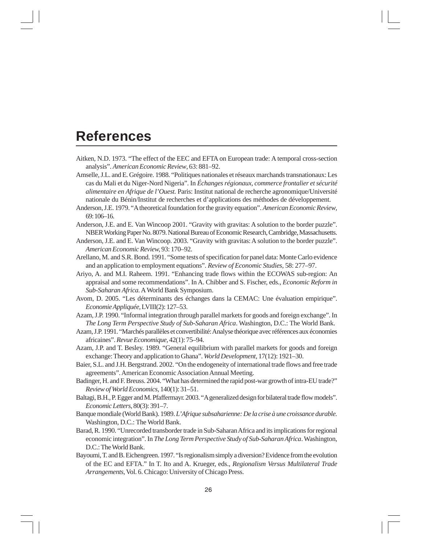### **References**

- Aitken, N.D. 1973. "The effect of the EEC and EFTA on European trade: A temporal cross-section analysis". *American Economic Review*, 63: 881–92.
- Amselle, J.L. and E. Grégoire. 1988. "Politiques nationales et réseaux marchands transnationaux: Les cas du Mali et du Niger-Nord Nigeria". In *Échanges régionaux, commerce frontalier et sécurité alimentaire en Afrique de l'Ouest.* Paris: Institut national de recherche agronomique/Université nationale du Bénin/Institut de recherches et d'applications des méthodes de développement.
- Anderson, J.E. 1979. "A theoretical foundation for the gravity equation". *American Economic Review*, 69: 106–16.
- Anderson, J.E. and E. Van Wincoop 2001. "Gravity with gravitas: A solution to the border puzzle". NBER Working Paper No. 8079.National Bureau of Economic Research, Cambridge, Massachusetts.
- Anderson, J.E. and E. Van Wincoop. 2003. "Gravity with gravitas: A solution to the border puzzle". *American Economic Review,* 93: 170–92.
- Arellano, M. and S.R. Bond. 1991. "Some tests of specification for panel data: Monte Carlo evidence and an application to employment equations". *Review of Economic Studies,* 58: 277–97.
- Ariyo, A. and M.I. Raheem. 1991. "Enhancing trade flows within the ECOWAS sub-region: An appraisal and some recommendations". In A. Chibber and S. Fischer, eds., *Economic Reform in Sub-Saharan Africa.* A World Bank Symposium.
- Avom, D. 2005. "Les déterminants des échanges dans la CEMAC: Une évaluation empirique". *Economie Appliquée,* LVIII(2): 127–53.
- Azam, J.P. 1990. "Informal integration through parallel markets for goods and foreign exchange". In *The Long Term Perspective Study of Sub-Saharan Africa*. Washington, D.C.: The World Bank.
- Azam, J.P. 1991. "Marchés parallèles et convertibilité: Analyse théorique avec références aux économies africaines". *Revue Economique*, 42(1): 75–94.
- Azam, J.P. and T. Besley. 1989. "General equilibrium with parallel markets for goods and foreign exchange: Theory and application to Ghana". *World Development,* 17(12): 1921–30.
- Baier, S.L. and J.H. Bergstrand. 2002. "On the endogeneity of international trade flows and free trade agreements". American Economic Association Annual Meeting.
- Badinger, H. and F. Breuss. 2004. "What has determined the rapid post-war growth of intra-EU trade?" *Review of World Economics,* 140(1): 31–51.
- Baltagi, B.H., P. Egger and M. Pfaffermayr. 2003. "A generalized design for bilateral trade flow models". *Economic Letters*, 80(3): 391–7.
- Banque mondiale (World Bank). 1989. *L'Afrique subsaharienne: De la crise à une croissance durable.* Washington, D.C.: The World Bank.
- Barad, R. 1990. "Unrecorded transborder trade in Sub-Saharan Africa and its implications for regional economic integration". In *The Long Term Perspective Study of Sub-Saharan Africa*. Washington, D.C.: The World Bank.
- Bayoumi, T. and B. Eichengreen. 1997. "Is regionalism simply a diversion? Evidence from the evolution of the EC and EFTA." In T. Ito and A. Krueger, eds., *Regionalism Versus Multilateral Trade Arrangements*, Vol. 6. Chicago: University of Chicago Press.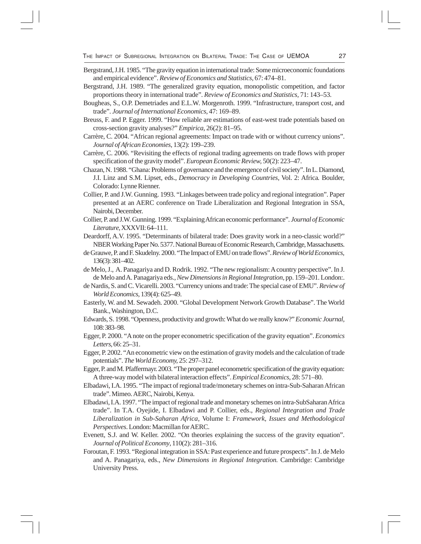- Bergstrand, J.H. 1985. "The gravity equation in international trade: Some microeconomic foundations and empirical evidence". *Review of Economics and Statistics,* 67: 474–81.
- Bergstrand, J.H. 1989. "The generalized gravity equation, monopolistic competition, and factor proportions theory in international trade". *Review of Economics and Statistics,* 71: 143–53.
- Bougheas, S., O.P. Demetriades and E.L.W. Morgenroth. 1999. "Infrastructure, transport cost, and trade". *Journal of International Economics*, 47: 169–89.
- Breuss, F. and P. Egger. 1999. "How reliable are estimations of east-west trade potentials based on cross-section gravity analyses?" *Empirica*, 26(2): 81–95.
- Carrère, C. 2004. "African regional agreements: Impact on trade with or without currency unions". *Journal of African Economies*, 13(2): 199–239.
- Carrère, C. 2006. "Revisiting the effects of regional trading agreements on trade flows with proper specification of the gravity model". *European Economic Review,* 50(2): 223–47.
- Chazan, N. 1988. "Ghana: Problems of governance and the emergence of civil society". In L. Diamond, J.I. Linz and S.M. Lipset, eds., *Democracy in Developing Countries,* Vol. 2: Africa*.* Boulder, Colorado: Lynne Rienner.
- Collier, P. and J.W. Gunning. 1993. "Linkages between trade policy and regional integration". Paper presented at an AERC conference on Trade Liberalization and Regional Integration in SSA, Nairobi, December.
- Collier, P. and J.W. Gunning. 1999. "Explaining African economic performance". *Journal of Economic Literature*, XXXVII: 64–111.
- Deardorff, A.V. 1995. "Determinants of bilateral trade: Does gravity work in a neo-classic world?" NBER Working Paper No. 5377. National Bureau of Economic Research, Cambridge, Massachusetts.
- de Grauwe, P. and F. Skudelny. 2000. "The Impact of EMU on trade flows". *Review of World Economics,* 136(3): 381–402.
- de Melo, J., A. Panagariya and D. Rodrik. 1992. "The new regionalism: A country perspective". In J. de Melo and A. Panagariya eds., *New Dimensions in Regional Integration*, pp. 159–201. London:.
- de Nardis, S. and C. Vicarelli. 2003. "Currency unions and trade: The special case of EMU". *Review of World Economics,* 139(4): 625–49.
- Easterly, W. and M. Sewadeh. 2000. "Global Development Network Growth Database". The World Bank., Washington, D.C.
- Edwards, S. 1998. "Openness, productivity and growth: What do we really know?" *Economic Journal,* 108: 383–98.
- Egger, P. 2000. "A note on the proper econometric specification of the gravity equation". *Economics Letters*, 66: 25–31.
- Egger, P. 2002. "An econometric view on the estimation of gravity models and the calculation of trade potentials". *The World Economy,* 25: 297–312.
- Egger, P. and M. Pfaffermayr. 2003. "The proper panel econometric specification of the gravity equation: A three-way model with bilateral interaction effects". *Empirical Economics*, 28: 571–80.
- Elbadawi, I.A. 1995. "The impact of regional trade/monetary schemes on intra-Sub-Saharan African trade".Mimeo. AERC, Nairobi, Kenya.
- Elbadawi, I.A. 1997. "The impact of regional trade and monetary schemes on intra-SubSaharan Africa trade". In T.A. Oyejide, I. Elbadawi and P. Collier, eds., *Regional Integration and Trade Liberalization in Sub-Saharan Africa*, Volume I: *Framework, Issues and Methodological Perspectives*. London: Macmillan for AERC.
- Evenett, S.J. and W. Keller. 2002. "On theories explaining the success of the gravity equation". *Journal of Political Economy*, 110(2): 281–316.
- Foroutan, F. 1993. "Regional integration in SSA: Past experience and future prospects". In J. de Melo and A. Panagariya, eds., *New Dimensions in Regional Integration.* Cambridge: Cambridge University Press.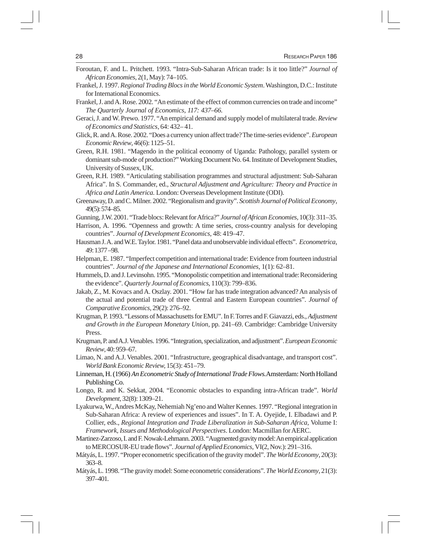- Foroutan, F. and L. Pritchett. 1993. "Intra-Sub-Saharan African trade: Is it too little?" *Journal of African Economies,* 2(1, May): 74–105.
- Frankel, J. 1997. *Regional Trading Blocs in the World Economic System*. Washington, D.C.: Institute for International Economics.
- Frankel, J. and A. Rose. 2002. "An estimate of the effect of common currencies on trade and income" *The Quarterly Journal of Economics, 117: 437–66.*
- Geraci, J. and W. Prewo. 1977. "An empirical demand and supply model of multilateral trade. *Review of Economics and Statistics*, 64: 432– 41.
- Glick, R. and A. Rose. 2002. "Does a currency union affect trade? The time-series evidence". *European Economic Review*, 46(6): 1125–51.
- Green, R.H. 1981. "Magendo in the political economy of Uganda: Pathology, parallel system or dominant sub-mode of production?" Working Document No. 64. Institute of Development Studies, University of Sussex, UK.
- Green, R.H. 1989. "Articulating stabilisation programmes and structural adjustment: Sub-Saharan Africa". In S. Commander, ed., *Structural Adjustment and Agriculture: Theory and Practice in Africa and Latin America.* London: Overseas Development Institute (ODI).
- Greenaway, D. and C. Milner. 2002. "Regionalism and gravity". *Scottish Journal of Political Economy*, 49(5): 574–85.
- Gunning, J.W. 2001. "Trade blocs: Relevant for Africa?" *Journal of African Economies,* 10(3): 311–35.
- Harrison, A. 1996. "Openness and growth: A time series, cross-country analysis for developing countries". *Journal of Development Economics,* 48: 419–47.
- Hausman J. A. and W.E. Taylor. 1981. "Panel data and unobservable individual effects". *Econometrica*, 49: 1377 –98.
- Helpman, E. 1987. "Imperfect competition and international trade: Evidence from fourteen industrial countries". *Journal of the Japanese and International Economies*, 1(1): 62–81.
- Hummels, D. and J. Levinsohn. 1995. "Monopolistic competition and international trade: Reconsidering the evidence". *Quarterly Journal of Economics*, 110(3): 799–836.
- Jakab, Z., M. Kovacs and A. Oszlay. 2001. "How far has trade integration advanced? An analysis of the actual and potential trade of three Central and Eastern European countries". *Journal of Comparative Economics*, 29(2): 276–92.
- Krugman, P. 1993. "Lessons of Massachusetts for EMU". In F. Torres and F. Giavazzi, eds., *Adjustment and Growth in the European Monetary Union*, pp. 241–69. Cambridge: Cambridge University Press.
- Krugman, P. and A.J. Venables. 1996. "Integration, specialization, and adjustment". *European Economic Review*, 40: 959–67.
- Limao, N. and A.J. Venables. 2001. "Infrastructure, geographical disadvantage, and transport cost". *World Bank Economic Review,* 15(3): 451–79.
- Linneman, H. (1966) *An Econometric Study of International Trade Flows.*Amsterdam: North Holland Publishing Co.
- Longo, R. and K. Sekkat, 2004. "Economic obstacles to expanding intra-African trade". *World Development,* 32(8): 1309–21.
- Lyakurwa, W., Andres McKay, Nehemiah Ng'eno and Walter Kennes. 1997. "Regional integration in Sub-Saharan Africa: A review of experiences and issues". In T. A. Oyejide, I. Elbadawi and P. Collier, eds., *Regional Integration and Trade Liberalization in Sub-Saharan Africa,* Volume I: *Framework, Issues and Methodological Perspectives*. London: Macmillan for AERC.
- Martinez-Zarzoso, I. and F. Nowak**-**Lehmann. 2003. "Augmented gravity model: An empirical application to MERCOSUR-EU trade flows". *Journal of Applied Economics,* VI(2, Nov.): 291–316.
- Mátyás, L. 1997. "Proper econometric specification of the gravity model". *The World Economy*, 20(3): 363–8.
- Mátyás, L. 1998. "The gravity model: Some econometric considerations". *The World Economy*, 21(3): 397–401.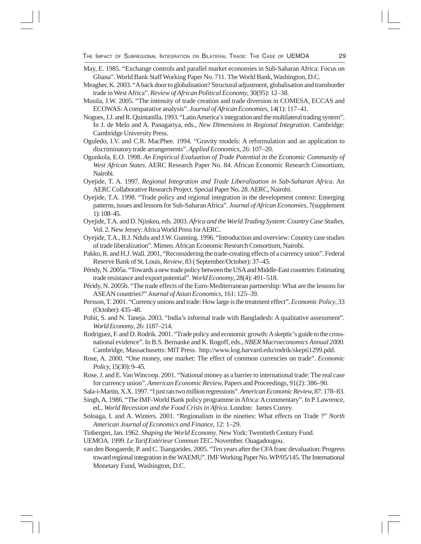- May, E. 1985. "Exchange controls and parallel market economies in Sub-Saharan Africa: Focus on Ghana". World Bank Staff Working Paper No. 711. The World Bank, Washington, D.C.
- Meagher, K. 2003. "A back door to globalisation? Structural adjustment, globalisation and transborder trade in West Africa". *Review of African Political Economy*, 30(95): 12–38.
- Musila, J.W. 2005. "The intensity of trade creation and trade diversion in COMESA, ECCAS and ECOWAS: A comparative analysis". *Journal of African Economies,* 14(1): 117–41.
- Nogues, J.J. and R. Quintanilla. 1993. "Latin America's integration and the multilateral trading system". In J. de Melo and A. Panagariya, eds., *New Dimensions in Regional Integration.* Cambridge: Cambridge University Press.
- Oguledo, I.V. and C.R. MacPhee. 1994. "Gravity models: A reformulation and an application to discriminatory trade arrangements". *Applied Economics*, 26: 107–20.
- Ogunkola, E.O. 1998. *An Empirical Evaluation of Trade Potential in the Economic Community of West African States*. AERC Research Paper No. 84. African Economic Research Consortium, Nairobi.
- Oyejide, T. A. 1997. *Regional Integration and Trade Liberalization in Sub-Saharan Africa*. An AERC Collaborative Research Project. Special Paper No. 28. AERC, Nairobi.
- Oyejide, T.A. 1998. "Trade policy and regional integration in the development context: Emerging patterns, issues and lessons for Sub-Saharan Africa". *Journal of African Economies*, 7(supplement 1): 108–45.
- Oyejide, T.A. and D. Njinkeu, eds. 2003. *Africa and the World Trading System*: *Country Case Studies,* Vol. 2. New Jersey: Africa World Press for AERC.
- Oyejide, T.A., B.J. Ndulu and J.W. Gunning. 1996. "Introduction and overview: Country case studies of trade liberalization". Mimeo. African Economic Research Consortium, Nairobi.
- Pakko, R. and H.J. Wall. 2001, "Reconsidering the trade-creating effects of a currency union". Federal Reserve Bank of St. Louis, *Review*, 83 ( September/October): 37–45.
- Péridy, N. 2005a. "Towards a new trade policy between the USA and Middle-East countries: Estimating trade resistance and export potential". *World Economy*, 28(4): 491–518.
- Péridy, N. 2005b. "The trade effects of the Euro-Mediterranean partnership: What are the lessons for ASEAN countries?" *Journal of Asian Economics*, 161: 125–39.
- Persson, T. 2001. "Currency unions and trade: How large is the treatment effect". *Economic Policy*, 33 (October): 435–48.
- Pohit, S. and N. Taneja. 2003. "India's informal trade with Bangladesh: A qualitative assessment". *World Economy*, 26: 1187–214.
- Rodriguez, F. and D. Rodrik. 2001. "Trade policy and economic growth: A skeptic's guide to the crossnational evidence". In B.S. Bernanke and K. Rogoff, eds., *NBER Macroeconomics Annual 2000*. Cambridge, Massachusetts: MIT Press. http://www.ksg.harvard.edu/rodrik/skepti1299.pdd.
- Rose, A. 2000. "One money, one market: The effect of common currencies on trade". *Economic Policy*, 15(30): 9–45.
- Rose, J. and E. Van Wincoop. 2001. "National money as a barrier to international trade: The real case for currency union". *American Economic Review,* Papers and Proceedings, 91(2): 386–90.
- Sala-i-Martin, X.X. 1997. "I just ran two million regressions". *American Economic Review,* 87: 178–83.

Singh, A. 1986. "The IMF-World Bank policy programme in Africa: A commentary". In P. Lawrence, ed., *World Recession and the Food Crisis in Africa.* London: James Currey.

- Soloaga, I. and A. Winters. 2001. "Regionalism in the nineties: What effects on Trade ?" *North American Journal of Economics and Finance*, 12: 1–29.
- Tinbergen, Jan. 1962. *Shaping the World Economy*. New York: Twentieth Century Fund.
- UEMOA. 1999. *Le Tarif Extérieur Commun TEC.* November. Ouagadougou.
- van den Boogaerde, P. and C. Tsangarides. 2005. "Ten years after the CFA franc devaluation: Progress toward regional integration in the WAEMU". IMF Working Paper No. WP/05/145. The International Monetary Fund, Washington, D.C.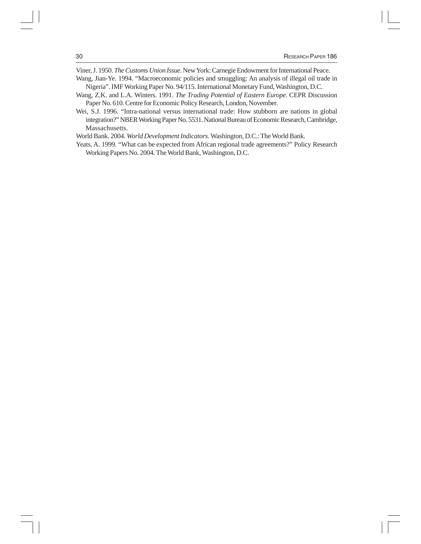Viner, J. 1950. *The Customs Union Issue.* New York: Carnegie Endowment for International Peace.

- Wang, Jian-Ye. 1994. "Macroeconomic policies and smuggling: An analysis of illegal oil trade in Nigeria". IMF Working Paper No. 94/115. International Monetary Fund, Washington, D.C.
- Wang, Z.K. and L.A. Winters. 1991. *The Trading Potential of Eastern Europe.* CEPR Discussion Paper No. 610. Centre for Economic Policy Research, London, November.
- Wei, S.J. 1996. "Intra-national versus international trade: How stubborn are nations in global integration?" NBER Working Paper No. 5531. National Bureau of Economic Research, Cambridge, Massachusetts.

World Bank. 2004. *World Development Indicators.* Washington, D.C.: The World Bank.

Yeats, A. 1999. "What can be expected from African regional trade agreements?" Policy Research Working Papers No. 2004. The World Bank, Washington, D.C.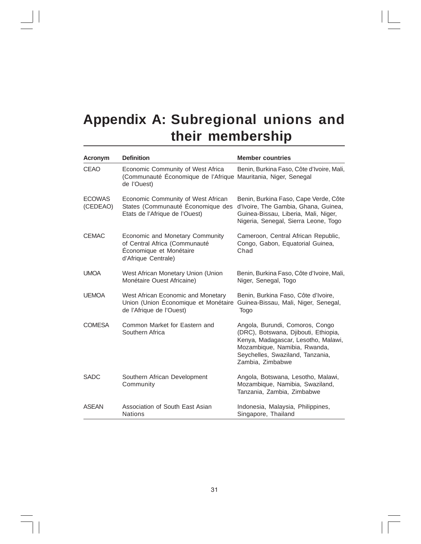## **Appendix A: Subregional unions and their membership**

| <b>Acronym</b>            | <b>Definition</b>                                                                                                  | <b>Member countries</b>                                                                                                                                                                                |
|---------------------------|--------------------------------------------------------------------------------------------------------------------|--------------------------------------------------------------------------------------------------------------------------------------------------------------------------------------------------------|
| CEAO                      | Economic Community of West Africa<br>(Communauté Économique de l'Afrique Mauritania, Niger, Senegal<br>de l'Ouest) | Benin, Burkina Faso, Côte d'Ivoire, Mali,                                                                                                                                                              |
| <b>ECOWAS</b><br>(CEDEAO) | Economic Community of West African<br>States (Communauté Économique des<br>Etats de l'Afrique de l'Ouest)          | Benin, Burkina Faso, Cape Verde, Côte<br>d'Ivoire, The Gambia, Ghana, Guinea,<br>Guinea-Bissau, Liberia, Mali, Niger,<br>Nigeria, Senegal, Sierra Leone, Togo                                          |
| <b>CEMAC</b>              | Economic and Monetary Community<br>of Central Africa (Communauté<br>Économique et Monétaire<br>d'Afrique Centrale) | Cameroon, Central African Republic,<br>Congo, Gabon, Equatorial Guinea,<br>Chad                                                                                                                        |
| <b>UMOA</b>               | West African Monetary Union (Union<br>Monétaire Ouest Africaine)                                                   | Benin, Burkina Faso, Côte d'Ivoire, Mali,<br>Niger, Senegal, Togo                                                                                                                                      |
| <b>UEMOA</b>              | West African Economic and Monetary<br>Union (Union Économique et Monétaire<br>de l'Afrique de l'Ouest)             | Benin, Burkina Faso, Côte d'Ivoire,<br>Guinea-Bissau, Mali, Niger, Senegal,<br>Togo                                                                                                                    |
| <b>COMESA</b>             | Common Market for Eastern and<br>Southern Africa                                                                   | Angola, Burundi, Comoros, Congo<br>(DRC), Botswana, Djibouti, Ethiopia,<br>Kenya, Madagascar, Lesotho, Malawi,<br>Mozambique, Namibia, Rwanda,<br>Seychelles, Swaziland, Tanzania,<br>Zambia, Zimbabwe |
| <b>SADC</b>               | Southern African Development<br>Community                                                                          | Angola, Botswana, Lesotho, Malawi,<br>Mozambique, Namibia, Swaziland,<br>Tanzania, Zambia, Zimbabwe                                                                                                    |
| <b>ASEAN</b>              | Association of South East Asian<br><b>Nations</b>                                                                  | Indonesia, Malaysia, Philippines,<br>Singapore, Thailand                                                                                                                                               |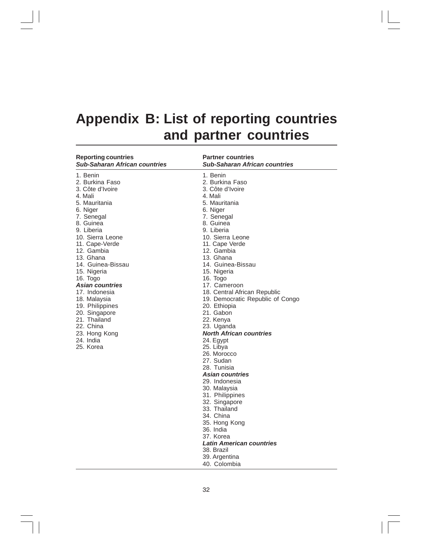## **Appendix B: List of reporting countries and partner countries**

| <b>Reporting countries</b><br><b>Sub-Saharan African countries</b> | <b>Partner countries</b><br><b>Sub-Saharan African countries</b> |
|--------------------------------------------------------------------|------------------------------------------------------------------|
| 1. Benin                                                           | 1. Benin                                                         |
| 2. Burkina Faso                                                    | 2. Burkina Faso                                                  |
| 3. Côte d'Ivoire                                                   | 3. Côte d'Ivoire                                                 |
| 4. Mali                                                            | 4. Mali                                                          |
| 5. Mauritania                                                      | 5. Mauritania                                                    |
| 6. Niger                                                           | 6. Niger                                                         |
| 7. Senegal                                                         | 7. Senegal                                                       |
| 8. Guinea                                                          | 8. Guinea                                                        |
| 9. Liberia                                                         | 9. Liberia                                                       |
| 10. Sierra Leone                                                   | 10. Sierra Leone                                                 |
| 11. Cape-Verde                                                     | 11. Cape Verde                                                   |
| 12. Gambia                                                         | 12. Gambia                                                       |
| 13. Ghana                                                          | 13. Ghana                                                        |
| 14. Guinea-Bissau                                                  | 14. Guinea-Bissau                                                |
| 15. Nigeria                                                        | 15. Nigeria                                                      |
| 16. Togo                                                           | 16. Togo                                                         |
| Asian countries                                                    | 17. Cameroon                                                     |
| 17. Indonesia                                                      | 18. Central African Republic                                     |
| 18. Malaysia                                                       | 19. Democratic Republic of Congo                                 |
| 19. Philippines                                                    | 20. Ethiopia                                                     |
| 20. Singapore                                                      | 21. Gabon                                                        |
| 21. Thailand                                                       | 22. Kenya                                                        |
| 22. China                                                          | 23. Uganda                                                       |
| 23. Hong Kong                                                      | <b>North African countries</b>                                   |
| 24. India                                                          | 24. Egypt                                                        |
| 25. Korea                                                          | 25. Libya                                                        |
|                                                                    | 26. Morocco                                                      |
|                                                                    | 27. Sudan                                                        |
|                                                                    | 28. Tunisia                                                      |
|                                                                    | Asian countries                                                  |
|                                                                    | 29. Indonesia                                                    |
|                                                                    | 30. Malaysia                                                     |
|                                                                    | 31. Philippines                                                  |
|                                                                    | 32. Singapore                                                    |
|                                                                    | 33. Thailand                                                     |
|                                                                    | 34. China                                                        |
|                                                                    | 35. Hong Kong                                                    |
|                                                                    | 36. India                                                        |
|                                                                    | 37. Korea                                                        |
|                                                                    | <b>Latin American countries</b>                                  |
|                                                                    | 38. Brazil                                                       |
|                                                                    | 39. Argentina                                                    |
|                                                                    | 40. Colombia                                                     |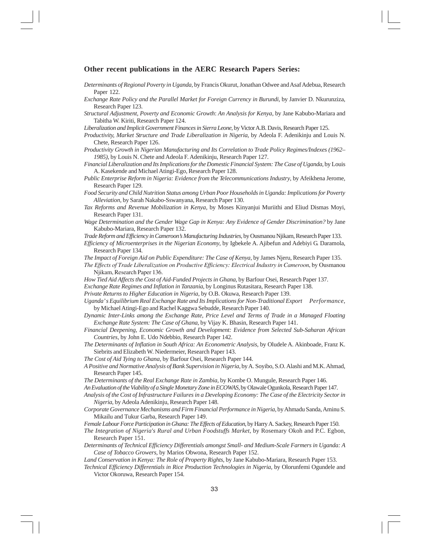#### **Other recent publications in the AERC Research Papers Series:**

- *Determinants of Regional Poverty in Uganda,* by Francis Okurut, Jonathan Odwee and Asaf Adebua, Research Paper 122.
- *Exchange Rate Policy and the Parallel Market for Foreign Currency in Burundi*, by Janvier D. Nkurunziza, Research Paper 123.
- *Structural Adjustment, Poverty and Economic Growth*: *An Analysis for Kenya*, by Jane Kabubo-Mariara and Tabitha W. Kiriti, Research Paper 124.
- *Liberalization and Implicit Government Finances in Sierra Leone*, by Victor A.B. Davis, Research Paper 125.
- *Productivity, Market Structure and Trade Liberalization in Nigeria*, by Adeola F. Adenikinju and Louis N. Chete, Research Paper 126.
- *Productivity Growth in Nigerian Manufacturing and Its Correlation to Trade Policy Regimes/Indexes (1962– 1985)*, by Louis N. Chete and Adeola F. Adenikinju, Research Paper 127.

*Financial Liberalization and Its Implications for the Domestic Financial System: The Case of Uganda*, by Louis A. Kasekende and Michael Atingi-Ego, Research Paper 128.

*Public Enterprise Reform in Nigeria: Evidence from the Telecommunications Industry*, by Afeikhena Jerome, Research Paper 129.

*Food Security and Child Nutrition Status among Urban Poor Householdsin Uganda: Implications for Poverty Alleviation,* by Sarah Nakabo-Sswanyana, Research Paper 130.

*Tax Reforms and Revenue Mobilization in Kenya*, by Moses Kinyanjui Muriithi and Eliud Dismas Moyi, Research Paper 131.

*Wage Determination and the Gender Wage Gap in Kenya: Any Evidence of Gender Discrimination?* by Jane Kabubo-Mariara, Research Paper 132.

*Trade Reform and Efficiency in Cameroon's Manufacturing Industries,* by Ousmanou Njikam, Research Paper 133.

*Efficiency of Microenterprises in the Nigerian Economy*, by Igbekele A. Ajibefun and Adebiyi G. Daramola, Research Paper 134.

*The Impact of Foreign Aid on Public Expenditure: The Case of Kenya*, by James Njeru, Research Paper 135.

- *The Effects of Trade Liberalization on Productive Efficiency: Electrical Industry in Cameroon*, by Ousmanou Njikam, Research Paper 136.
- *How Tied Aid Affects the Cost of Aid-Funded Projects in Ghana*, by Barfour Osei, Research Paper 137.
- *Exchange Rate Regimes and Inflation in Tanzania*, by Longinus Rutasitara, Research Paper 138.
- *Private Returns to Higher Education in Nigeria*, by O.B. Okuwa, Research Paper 139.

*Uganda' s Equilibrium Real Exchange Rate and Its Implications for Non-Traditional Export Performance*, by Michael Atingi-Ego and Rachel Kaggwa Sebudde, Research Paper 140.

- *Dynamic Inter-Links among the Exchange Rate, Price Level and Terms of Trade in a Managed Floating Exchange Rate System: The Case of Ghana*, by Vijay K. Bhasin, Research Paper 141.
- *Financial Deepening, Economic Growth and Development: Evidence from Selected Sub-Saharan African Countries*, by John E. Udo Ndebbio, Research Paper 142.
- *The Determinants of Inflation in South Africa: An Econometric Analysis,* by Oludele A. Akinboade, Franz K. Siebrits and Elizabeth W. Niedermeier, Research Paper 143.

*The Cost of Aid Tying to Ghana*, by Barfour Osei, Research Paper 144.

*A Positive and Normative Analysis of Bank Supervision in Nigeria,* by A. Soyibo, S.O. Alashi and M.K. Ahmad, Research Paper 145.

*The Determinants of the Real Exchange Rate in Zambia,* by Kombe O. Mungule, Research Paper 146.

*An Evaluation of the Viability of a Single Monetary Zone in ECOWAS,* by Olawale Ogunkola, Research Paper 147.

*Analysis of the Cost of Infrastructure Failures in a Developing Economy: The Case of the Electricity Sector in Nigeria*, by Adeola Adenikinju, Research Paper 148.

*Corporate Governance Mechanisms and Firm Financial Performance in Nigeria,* by Ahmadu Sanda, Aminu S. Mikailu and Tukur Garba, Research Paper 149.

*Female Labour Force Participation in Ghana: The Effects of Education*, by Harry A. Sackey, Research Paper 150.

- *The Integration of Nigeria's Rural and Urban Foodstuffs Market,* by Rosemary Okoh and P.C. Egbon, Research Paper 151.
- *Determinants of Technical Efficiency Differentials amongst Small- and Medium-Scale Farmers in Uganda: A Case of Tobacco Growers,* by Marios Obwona, Research Paper 152.

*Land Conservation in Kenya: The Role of Property Rights*, by Jane Kabubo-Mariara, Research Paper 153.

*Technical Efficiency Differentials in Rice Production Technologies in Nigeria,* by Olorunfemi Ogundele and Victor Okoruwa, Research Paper 154.